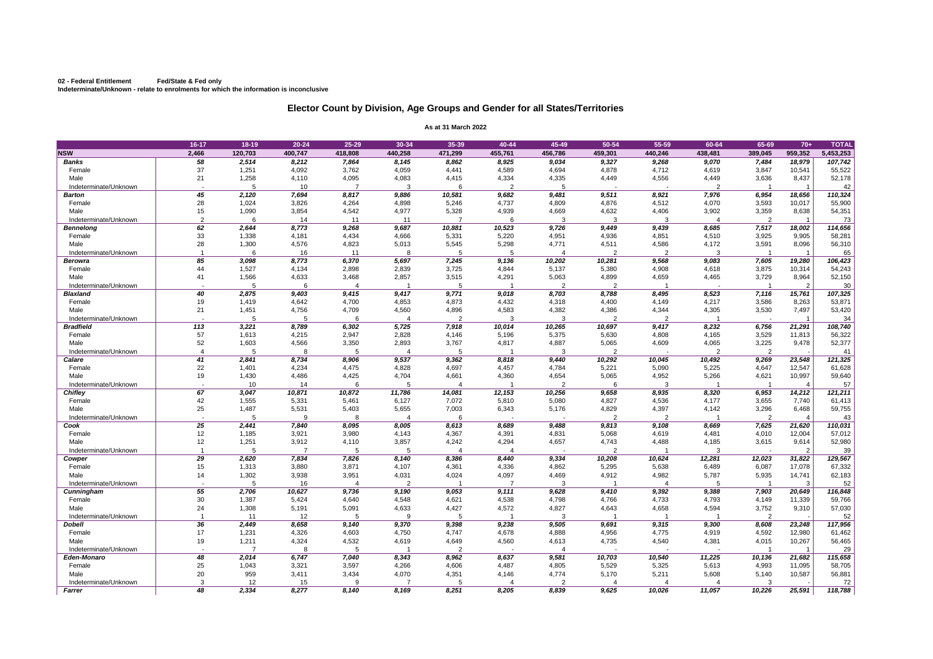## **02 - Federal Entitlement Fed/State & Fed only Indeterminate/Unknown - relate to enrolments for which the information is inconclusive**

|                       | 16-17                    | $18-19$         | $20 - 24$      | $25 - 29$      | 30-34          | 35-39          | 40-44          | 45-49          | 50-54          | 55-59                    | 60-64          | 65-69          | $70+$          | <b>TOTAL</b>     |
|-----------------------|--------------------------|-----------------|----------------|----------------|----------------|----------------|----------------|----------------|----------------|--------------------------|----------------|----------------|----------------|------------------|
| <b>NSW</b>            | 2,466                    | 120,703         | 400,747        | 418,808        | 440,258        | 471,299        | 455,761        | 456,786        | 459,301        | 440,246                  | 438,481        | 389,045        | 959,352        | 5,453,253        |
| <b>Banks</b>          | 58                       | 2,514           | 8,212          | 7,864          | 8,145          | 8,862          | 8,925          | 9,034          | 9,327          | 9,268                    | 9,070          | 7,484          | 18,979         | 107,742          |
| Female                | 37                       | 1,251           | 4,092          | 3,762          | 4,059          | 4,441          | 4,589          | 4,694          | 4,878          | 4,712                    | 4,619          | 3,847          | 10,541         | 55,522           |
| Male                  | 21                       | 1,258           | 4,110          | 4,095          | 4,083          | 4,415          | 4,334          | 4,335          | 4,449          | 4,556                    | 4,449          | 3,636          | 8,437          | 52,178           |
| Indeterminate/Unknown | $\overline{\phantom{0}}$ | 5               | 10             |                | 3              |                | $\overline{2}$ | 5              |                | $\overline{\phantom{0}}$ | ົ              |                |                | 42               |
| <b>Barton</b>         | 45                       | 2,120           | 7,694          | 8,817          | 9,886          | 10,581         | 9,682          | 9,481          | 9,511          | 8,921                    | 7,976          | 6,954          | 18,656         | 110,324          |
| Female                | 28                       | 1,024           | 3,826          | 4,264          | 4,898          | 5,246          | 4,737          | 4,809          | 4,876          | 4,512                    | 4,070          | 3,593          | 10,017         | 55,900           |
| Male                  | 15                       | 1,090           | 3,854          | 4,542          | 4,977          | 5,328          | 4,939          | 4,669          | 4,632          | 4,406                    | 3,902          | 3,359          | 8,638          | 54,351           |
| Indeterminate/Unknown | $\overline{2}$           |                 | 14             | 11             |                |                |                | 3              | 3              | 3                        |                |                |                | 73               |
| <b>Bennelong</b>      | 62                       | 2,644           | 8,773          | 9,268          | 9,687          | 10,881         | 10,523         | 9,726          | 9,449          | 9,439                    | 8,685          | 7,517          | 18,002         | 114,656          |
| Female                | 33                       | 1,338           | 4,181          | 4,434          | 4,666          | 5,331          | 5,220          | 4,951          | 4,936          | 4,851                    | 4,510          | 3,925          | 9,905          | 58,281           |
| Male                  | 28                       | 1,300           | 4,576          | 4,823          | 5,013          | 5,545          | 5,298          | 4,771          | 4,511          | 4,586                    | 4,172          | 3,591          | 8,096          | 56,310           |
| Indeterminate/Unknown |                          | 6               | 16             | 11             | 8              |                |                |                | $\overline{2}$ | $\overline{2}$           |                |                |                | 65               |
| <b>Berowra</b>        | 85                       | 3,098           | 8,773          | 6,370          | 5,697          | 7,245          | 9,136          | 10,202         | 10,281         | 9,568                    | 9,083          | 7,605          | 19,280         | 106,423          |
| Female                | 44                       | 1,527           | 4,134          | 2,898          | 2,839          | 3,725          | 4,844          | 5,137          | 5,380          | 4,908                    | 4,618          | 3,875          | 10,314         | 54,243           |
| Male                  | 41                       | 1,566           | 4,633          | 3,468          | 2,857          | 3,515          | 4,291          | 5,063          | 4,899          | 4,659                    | 4,465          | 3,729          | 8,964          | 52,150           |
| Indeterminate/Unknown |                          | 5               | 6              |                |                |                |                | 2              | 2              |                          |                |                | 2              | 30               |
| <b>Blaxland</b>       | 40                       | 2,875           | 9,403          | 9,415          | 9,417          | 9,771          | 9,018          | 8,703          | 8,788          | 8,495                    | 8,523          | 7,116          | 15,761         | 107,325          |
| Female                | 19                       | 1,419           | 4,642          | 4,700          | 4,853          | 4,873          | 4,432          | 4,318          | 4,400          | 4,149                    | 4,217          | 3,586          | 8,263          | 53,871           |
| Male                  | 21                       | 1,451           | 4,756          | 4,709          | 4,560          | 4,896          | 4,583          | 4,382          | 4,386          | 4,344                    | 4,305          | 3,530          | 7,497          | 53,420           |
| Indeterminate/Unknown |                          |                 |                |                |                | $\overline{2}$ |                |                | $\overline{2}$ | $\overline{2}$           |                |                |                | 34               |
| <b>Bradfield</b>      | 113                      | 3,221           | 8,789          | 6,302          | 5,725          | 7,918          | 10,014         | 10,265         | 10,697         | 9,417                    | 8,232          | 6,756          | 21,291         | 108,740          |
| Female                | 57                       | 1,613           | 4,215          | 2,947          | 2,828          | 4,146          | 5,196          | 5,375          | 5,630          | 4,808                    | 4,165          | 3,529          | 11,813         | 56,322           |
| Male                  | 52                       | 1,603           | 4,566          | 3,350          | 2,893          | 3,767          | 4,817          | 4,887          | 5,065          | 4,609                    | 4,065          | 3,225          | 9,478          | 52,377           |
| Indeterminate/Unknown |                          | 5               |                | 5              |                |                |                | 3              | 2              | $\overline{\phantom{0}}$ |                | $\overline{2}$ |                | 41               |
| <b>Calare</b>         | 41                       | 2,841           | 8,734          | 8,906          | 9,537          | 9,362          | 8,818          | 9,440          | 10,292         | 10,045                   | 10,492         | 9,269          | 23,548         | 121,325          |
| Female                | 22                       | 1,401           | 4,234          | 4,475          | 4,828          | 4,697          | 4,457          | 4,784          | 5,221          | 5,090                    | 5,225          | 4,647          | 12,547         | 61,628           |
| Male                  | 19                       | 1,430           | 4,486          | 4,425          | 4,704          | 4,661          | 4,360          | 4,654<br>ົ     | 5,065          | 4,952                    | 5,266          | 4,621          | 10,997         | 59,640           |
| Indeterminate/Unknown |                          | 10 <sup>°</sup> | 14             |                |                |                |                |                |                | 3                        |                |                |                | 57               |
| <b>Chifley</b>        | 67                       | 3,047           | 10,871         | 10,872         | 11,786         | 14,081         | 12,153         | 10,256         | 9,658          | 8,935                    | 8,320          | 6,953          | 14,212         | 121,211          |
| Female<br>Male        | 42<br>25                 | 1,555<br>1,487  | 5,331<br>5,531 | 5,461<br>5,403 | 6,127<br>5,655 | 7,072<br>7,003 | 5,810<br>6,343 | 5,080<br>5,176 | 4,827<br>4,829 | 4,536<br>4,397           | 4,177<br>4,142 | 3,655<br>3,296 | 7,740<br>6,468 | 61,413<br>59,755 |
| Indeterminate/Unknown |                          |                 |                |                |                |                |                |                |                | 2                        |                |                |                | 43               |
| Cook                  | 25                       | 2,441           | 7,840          | 8,095          | 8,005          | 8,613          | 8,689          | 9,488          | 9,813          | 9,108                    | 8,669          | 7,625          | 21,620         | 110,031          |
| Female                | 12                       | 1,185           | 3,921          | 3,980          | 4,143          | 4,367          | 4,391          | 4,831          | 5,068          | 4,619                    | 4,481          | 4,010          | 12,004         | 57,012           |
| Male                  | 12                       | 1,251           | 3,912          | 4,110          | 3,857          | 4,242          | 4,294          | 4,657          | 4,743          | 4,488                    | 4,185          | 3,615          | 9,614          | 52,980           |
| Indeterminate/Unknown |                          | 5               |                | 5              | 5              |                |                |                | $\overline{2}$ |                          |                |                | $\overline{2}$ | 39               |
| Cowper                | 29                       | 2,620           | 7,834          | 7,826          | 8,140          | 8,386          | 8,440          | 9,334          | 10,208         | 10,624                   | 12,281         | 12,023         | 31,822         | 129,567          |
| Female                | 15                       | 1,313           | 3,880          | 3,871          | 4,107          | 4,361          | 4,336          | 4,862          | 5,295          | 5,638                    | 6,489          | 6,087          | 17,078         | 67,332           |
| Male                  | 14                       | 1,302           | 3,938          | 3,951          | 4,031          | 4,024          | 4,097          | 4,469          | 4,912          | 4,982                    | 5,787          | 5,935          | 14,741         | 62,183           |
| Indeterminate/Unknown | $\overline{\phantom{0}}$ |                 | 16             |                |                |                |                |                |                |                          |                |                | 3              | 52               |
| <b>Cunningham</b>     | 55                       | 2,706           | 10,627         | 9,736          | 9,190          | 9,053          | 9,111          | 9,628          | 9,410          | 9,392                    | 9,388          | 7,903          | 20,649         | 116,848          |
| Female                | 30                       | 1,387           | 5,424          | 4,640          | 4,548          | 4,621          | 4,538          | 4,798          | 4,766          | 4,733                    | 4,793          | 4,149          | 11,339         | 59,766           |
| Male                  | 24                       | 1,308           | 5,191          | 5,091          | 4,633          | 4,427          | 4,572          | 4,827          | 4,643          | 4,658                    | 4,594          | 3,752          | 9,310          | 57,030           |
| Indeterminate/Unknown |                          | 11              | 12             | 5              | 9              |                |                |                |                |                          |                | $\overline{2}$ |                | 52               |
| <b>Dobell</b>         | 36                       | 2,449           | 8,658          | 9,140          | 9,370          | 9,398          | 9,238          | 9,505          | 9,691          | 9,315                    | 9,300          | 8,608          | 23,248         | 117,956          |
| Female                | 17                       | 1,231           | 4,326          | 4,603          | 4,750          | 4,747          | 4,678          | 4,888          | 4,956          | 4,775                    | 4,919          | 4,592          | 12,980         | 61,462           |
| Male                  | 19                       | 1,211           | 4,324          | 4,532          | 4,619          | 4,649          | 4,560          | 4,613          | 4,735          | 4,540                    | 4,381          | 4,015          | 10,267         | 56,465           |
| Indeterminate/Unknown |                          |                 | 8              |                |                |                |                |                |                |                          |                |                |                | 29               |
| Eden-Monaro           | 48                       | 2,014           | 6,747          | 7,040          | 8,343          | 8,962          | 8,637          | 9,581          | 10,703         | 10,540                   | 11,225         | 10,136         | 21,682         | 115,658          |
| Female                | 25                       | 1,043           | 3,321          | 3,597          | 4,266          | 4,606          | 4,487          | 4,805          | 5,529          | 5,325                    | 5,613          | 4,993          | 11,095         | 58,705           |
| Male                  | 20                       | 959             | 3,411          | 3,434          | 4,070          | 4,351          | 4,146          | 4,774          | 5,170          | 5,211                    | 5,608          | 5,140          | 10,587         | 56,881           |
| Indeterminate/Unknown |                          | 12              | 15             |                |                |                |                |                |                |                          |                |                |                | 72               |
| <b>Farrer</b>         | 48                       | 2,334           | 8,277          | 8,140          | 8,169          | 8,251          | 8,205          | 8,839          | 9,625          | 10,026                   | 11,057         | 10,226         | 25,591         | 118,788          |

## **Elector Count by Division, Age Groups and Gender for all States/Territories**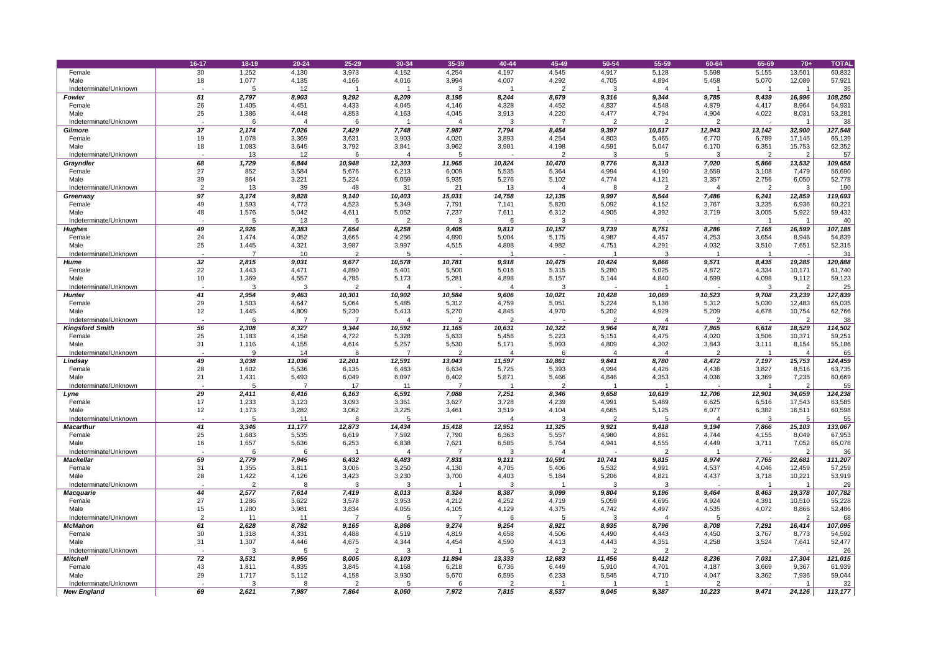|                        | 16-17          | $18 - 19$      | $20 - 24$      | 25-29          | 30-34           | 35-39           | 40-44           | 45-49           | 50-54          | 55-59          | 60-64          | 65-69          | $70+$           | <b>TOTAL</b>      |
|------------------------|----------------|----------------|----------------|----------------|-----------------|-----------------|-----------------|-----------------|----------------|----------------|----------------|----------------|-----------------|-------------------|
| Female                 | 30             | 1,252          | 4,130          | 3,973          | 4,152           | 4,254           | 4,197           | 4,545           | 4,917          | 5,128          | 5,598          | 5,155          | 13,501          | 60,832            |
| Male                   | 18             | 1,077          | 4,135          | 4,166          | 4,016           | 3,994           | 4,007           | 4,292           | 4,705          | 4,894          | 5,458          | 5,070          | 12,089          | 57,921            |
| Indeterminate/Unknown  |                |                | 12             |                |                 |                 |                 |                 |                |                |                |                |                 | 35 <sub>5</sub>   |
| <b>Fowler</b>          | 51             | 2,797          | 8,903          | 9,292          | 8,209           | 8,195           | 8,244           | 8,679           | 9,316          | 9,344          | 9,785          | 8,439          | 16,996          | 108,250           |
| Female                 | 26             | 1,405          | 4,451          | 4,433          | 4,045           | 4,146           | 4,328           | 4,452           | 4,837          | 4,548          | 4,879          | 4,417          | 8,964           | 54,931            |
| Male                   | 25             | 1,386          | 4,448          | 4,853          | 4,163           | 4,045           | 3,913           | 4,220           | 4,477          | 4,794          | 4,904          | 4,022          | 8,031           | 53,281            |
| Indeterminate/Unknown  |                |                |                | 6              |                 |                 |                 |                 | $\overline{2}$ | 2              | ာ              |                |                 | 38                |
| <b>Gilmore</b>         | 37             | 2,174          | 7,026          | 7,429          | 7,748           | 7,987           | 7,794           | 8,454           | 9,397          | 10,517         | 12,943         | 13,142         | 32,900          | 127,548           |
| Female                 | 19             | 1,078          | 3,369          | 3,631          | 3,903           | 4,020           | 3,893           | 4,254           | 4,803          | 5,465          | 6,770          | 6,789          | 17,145          | 65,139            |
| Male                   | 18             | 1,083          | 3,645          | 3,792          | 3,841           | 3,962           | 3,901           | 4,198           | 4,591          | 5,047          | 6,170          | 6,351          | 15,753          | 62,352            |
| Indeterminate/Unknown  |                | 13             | 12             | 6              |                 |                 |                 | $\overline{2}$  | 3              | 5              |                | $\overline{2}$ | $\overline{2}$  | 57                |
| <b>Grayndler</b>       | 68             | 1,729          | 6,844          | 10,948         | 12,303          | 11,965          | 10,824          | 10,470          | 9,776          | 8,313          | 7,020          | 5,866          | 13,532          | 109,658           |
| Female                 | 27             | 852            | 3,584          | 5,676          | 6,213           | 6,009           | 5,535           | 5,364           | 4,994          | 4,190          | 3,659          | 3,108          | 7,479           | 56,690            |
| Male                   | 39             | 864            | 3,221          | 5,224          | 6,059           | 5,935           | 5,276           | 5,102           | 4,774          | 4,121          | 3,357          | 2,756          | 6,050           | 52,778            |
| Indeterminate/Unknown  | 97             | 13             | 39             | 48             | 31              | 21              | 13              |                 |                |                |                |                | 3               | 190               |
| Greenway<br>Female     | 49             | 3,174<br>1,593 | 9,828<br>4,773 | 9,140<br>4,523 | 10,403<br>5,349 | 15,031<br>7,791 | 14,758<br>7,141 | 12,135<br>5,820 | 9,997<br>5,092 | 8,544<br>4,152 | 7,486<br>3,767 | 6,241<br>3,235 | 12,859<br>6,936 | 119,693<br>60,221 |
| Male                   | 48             | 1,576          | 5,042          | 4,611          | 5,052           | 7,237           | 7,611           | 6,312           | 4,905          | 4,392          | 3,719          | 3,005          | 5,922           | 59,432            |
| Indeterminate/Unknown  |                |                | 13             | 6              | $\Omega$        | 3               |                 | 3               |                | $\sim$         |                |                |                 | 40                |
| <b>Hughes</b>          | 49             | 2,926          | 8,383          | 7,654          | 8,258           | 9,405           | 9,813           | 10,157          | 9,739          | 8,751          | 8,286          | 7,165          | 16,599          | 107,185           |
| Female                 | 24             | 1,474          | 4,052          | 3,665          | 4,256           | 4,890           | 5,004           | 5,175           | 4,987          | 4,457          | 4,253          | 3,654          | 8,948           | 54,839            |
| Male                   | 25             | 1,445          | 4,321          | 3,987          | 3,997           | 4,515           | 4,808           | 4,982           | 4,751          | 4,291          | 4,032          | 3,510          | 7,651           | 52,315            |
| Indeterminate/Unknown  |                |                | 10             | $\overline{2}$ |                 |                 |                 |                 |                | 3              |                |                |                 | 31                |
| <b>Hume</b>            | 32             | 2,815          | 9,031          | 9,677          | 10,578          | 10,781          | 9,918           | 10,475          | 10,424         | 9,866          | 9,571          | 8,435          | 19,285          | 120,888           |
| Female                 | 22             | 1,443          | 4,471          | 4,890          | 5,401           | 5,500           | 5,016           | 5,315           | 5,280          | 5,025          | 4,872          | 4,334          | 10,171          | 61,740            |
| Male                   | 10             | 1,369          | 4,557          | 4,785          | 5,173           | 5,281           | 4,898           | 5,157           | 5,144          | 4,840          | 4,699          | 4,098          | 9,112           | 59,123            |
| Indeterminate/Unknown  |                |                |                |                |                 |                 |                 |                 |                |                |                |                | $\overline{2}$  | 25                |
| <b>Hunter</b>          | 41             | 2,954          | 9,463          | 10,301         | 10,902          | 10,584          | 9,606           | 10,021          | 10,428         | 10,069         | 10,523         | 9,708          | 23,239          | 127,839           |
| Female                 | 29             | 1,503          | 4,647          | 5,064          | 5,485           | 5,312           | 4,759           | 5,051           | 5,224          | 5,136          | 5,312          | 5,030          | 12,483          | 65,035            |
| Male                   | 12             | 1,445          | 4,809          | 5,230          | 5,413           | 5,270           | 4,845           | 4,970           | 5,202          | 4,929          | 5,209          | 4,678          | 10,754          | 62,766            |
| Indeterminate/Unknown  |                |                |                |                |                 |                 |                 |                 |                |                |                |                | $\overline{2}$  | 38                |
| <b>Kingsford Smith</b> | 56             | 2,308          | 8,327          | 9,344          | 10,592          | 11,165          | 10,631          | 10,322          | 9,964          | 8,781          | 7,865          | 6,618          | 18,529          | 114,502           |
| Female                 | 25             | 1,183          | 4,158          | 4,722          | 5,328           | 5,633           | 5,456           | 5,223           | 5,151          | 4,475          | 4,020          | 3,506          | 10,371          | 59,251            |
| Male                   | 31             | 1,116          | 4,155          | 4,614          | 5,257           | 5,530           | 5,171           | 5,093           | 4,809          | 4,302          | 3,843          | 3,111          | 8,154           | 55,186            |
| Indeterminate/Unknown  |                |                | 14             |                |                 |                 |                 |                 |                |                |                |                |                 | 65                |
| Lindsay                | 49             | 3,038          | 11,036         | 12,201         | 12,591          | 13,043          | 11,597          | 10,861          | 9,841          | 8,780          | 8,472          | 7,197          | 15,753          | 124,459           |
| Female                 | 28             | 1,602          | 5,536          | 6,135          | 6,483           | 6,634           | 5,725           | 5,393           | 4,994          | 4,426          | 4,436          | 3,827          | 8,516           | 63,735            |
| Male                   | 21             | 1,431          | 5,493          | 6,049          | 6,097           | 6,402           | 5,871           | 5,466           | 4,846          | 4,353          | 4,036          | 3,369          | 7,235           | 60,669            |
| Indeterminate/Unknown  |                |                |                | 17             |                 |                 |                 |                 |                |                |                |                | $\overline{2}$  | 55                |
| Lyne                   | 29             | 2,411          | 6,416          | 6,163          | 6,591           | 7,088           | 7,251           | 8,346           | 9,658          | 10,619         | 12,706         | 12,901         | 34,059          | 124,238           |
| Female                 | 17             | 1,233          | 3,123          | 3,093          | 3,361           | 3,627           | 3,728           | 4,239           | 4,991          | 5,489          | 6,625          | 6,516          | 17,543          | 63,585            |
| Male                   | 12             | 1,173          | 3,282          | 3,062          | 3,225           | 3,461           | 3,519           | 4,104           | 4,665          | 5,125          | 6,077          | 6,382          | 16,511          | 60,598            |
| Indeterminate/Unknown  |                |                | 11             | 8              |                 |                 |                 |                 | $\overline{2}$ | 5              |                | -3             | 5               | 55                |
| <b>Macarthur</b>       | 41<br>25       | 3,346          | 11,177         | 12,873         | 14,434          | 15,418          | 12,951          | 11,325<br>5,557 | 9,921          | 9,418          | 9,194          | 7,866          | 15,103          | 133,067           |
| Female<br>Male         | 16             | 1,683<br>1,657 | 5,535<br>5,636 | 6,619<br>6,253 | 7,592<br>6,838  | 7,790<br>7,621  | 6,363<br>6,585  | 5,764           | 4,980<br>4,941 | 4,861<br>4,555 | 4,744<br>4,449 | 4,155<br>3,711 | 8,049<br>7,052  | 67,953<br>65,078  |
| Indeterminate/Unknown  |                |                |                |                |                 |                 |                 |                 |                |                |                |                | $\overline{2}$  | 36                |
| <b>Mackellar</b>       | 59             | 2,779          | 7,945          | 6,432          | 6,483           | 7,831           | 9,111           | 10,591          | 10,741         | 9,815          | 8,974          | 7,765          | 22,681          | 111,207           |
| Female                 | 31             | 1,355          | 3,811          | 3,006          | 3,250           | 4,130           | 4,705           | 5,406           | 5,532          | 4,991          | 4,537          | 4,046          | 12,459          | 57,259            |
| Male                   | 28             | 1,422          | 4,126          | 3,423          | 3,230           | 3,700           | 4,403           | 5,184           | 5,206          | 4,821          | 4,437          | 3,718          | 10,221          | 53,919            |
| Indeterminate/Unknown  |                |                | 8              | 3              | 3               |                 | 3               |                 |                | 3              |                |                |                 | 29                |
| <b>Macquarie</b>       | 44             | 2,577          | 7,614          | 7,419          | 8,013           | 8,324           | 8,387           | 9,099           | 9,804          | 9,196          | 9,464          | 8,463          | 19,378          | 107,782           |
| Female                 | 27             | 1,286          | 3,622          | 3,578          | 3,953           | 4,212           | 4,252           | 4,719           | 5,059          | 4,695          | 4,924          | 4,391          | 10,510          | 55,228            |
| Male                   | 15             | 1,280          | 3,981          | 3,834          | 4,055           | 4,105           | 4,129           | 4,375           | 4,742          | 4,497          | 4,535          | 4,072          | 8,866           | 52,486            |
| Indeterminate/Unknown  | $\overline{2}$ | 11             | 11             |                |                 |                 |                 |                 | 3              |                |                |                | $\overline{2}$  | 68                |
| <b>McMahon</b>         | 61             | 2,628          | 8,782          | 9,165          | 8,866           | 9,274           | 9,254           | 8,921           | 8,935          | 8,796          | 8,708          | 7,291          | 16,414          | 107,095           |
| Female                 | 30             | 1,318          | 4,331          | 4,488          | 4,519           | 4,819           | 4,658           | 4,506           | 4,490          | 4,443          | 4,450          | 3,767          | 8,773           | 54,592            |
| Male                   | 31             | 1,307          | 4,446          | 4,675          | 4,344           | 4,454           | 4,590           | 4,413           | 4,443          | 4,351          | 4,258          | 3,524          | 7,641           | 52,477            |
| Indeterminate/Unknown  |                |                |                |                |                 |                 |                 |                 |                |                |                |                |                 | 26                |
| <b>Mitchell</b>        | 72             | 3,531          | 9,955          | 8,005          | 8,103           | 11,894          | 13,333          | 12,683          | 11,456         | 9,412          | 8,236          | 7,031          | 17,304          | 121,015           |
| Female                 | 43             | 1,811          | 4,835          | 3,845          | 4,168           | 6,218           | 6,736           | 6,449           | 5,910          | 4,701          | 4,187          | 3,669          | 9,367           | 61,939            |
| Male                   | 29             | 1,717          | 5,112          | 4,158          | 3,930           | 5,670           | 6,595           | 6,233           | 5,545          | 4,710          | 4,047          | 3,362          | 7,936           | 59,044            |
| Indeterminate/Unknown  |                |                |                |                |                 |                 |                 |                 |                |                |                |                |                 | 32                |
| <b>New England</b>     | 69             | 2,621          | 7,987          | 7,864          | 8,060           | 7,972           | 7,815           | 8,537           | 9,045          | 9,387          | 10,223         | 9,471          | 24,126          | 113,177           |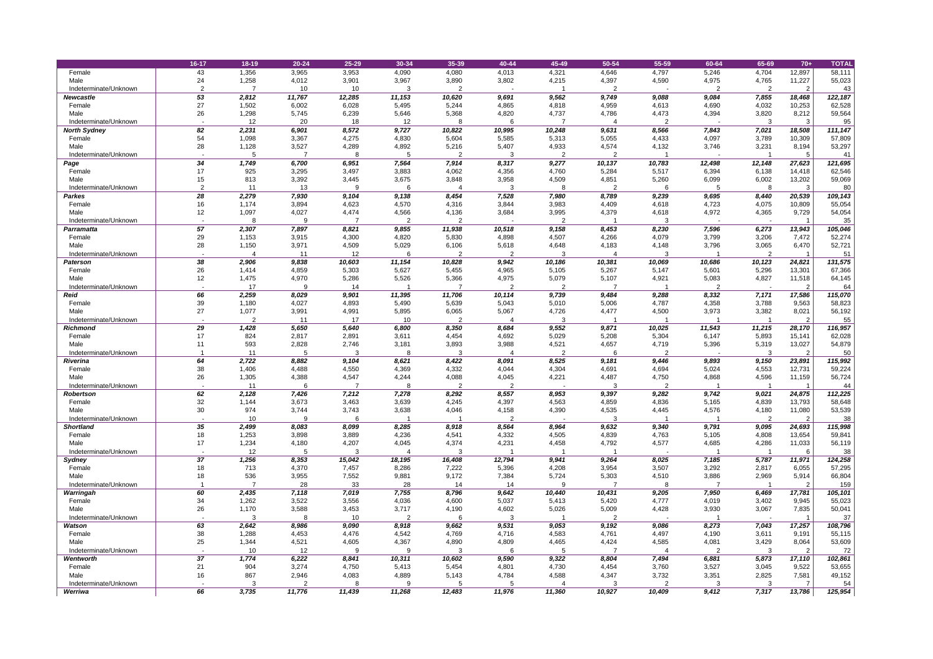|                       | 16-17    | $18 - 19$      | $20 - 24$      | 25-29       | 30-34                    | 35-39          | 40-44          | 45-49          | 50-54          | 55-59          | 60-64  | 65-69          | $70+$                   | <b>TOTAL</b> |
|-----------------------|----------|----------------|----------------|-------------|--------------------------|----------------|----------------|----------------|----------------|----------------|--------|----------------|-------------------------|--------------|
| Female                | 43       | 1,356          | 3,965          | 3,953       | 4,090                    | 4,080          | 4,013          | 4,321          | 4,646          | 4,797          | 5,246  | 4,704          | 12,897                  | 58,111       |
| Male                  | 24       | 1,258          | 4,012          | 3,901       | 3,967                    | 3,890          | 3,802          | 4,215          | 4,397          | 4,590          | 4,975  | 4,765          | 11,227                  | 55,023       |
| Indeterminate/Unknown | ົ        |                | 10             | 10          |                          |                |                |                |                |                |        |                | $\overline{2}$          | 43           |
| <b>Newcastle</b>      | 53       | 2,812          | 11,767         | 12,285      | 11,153                   | 10,620         | 9,691          | 9,562          | 9,749          | 9,088          | 9,084  | 7,855          | 18,468                  | 122,187      |
| Female                | 27       | 1,502          | 6,002          | 6,028       | 5,495                    | 5,244          | 4,865          | 4,818          | 4,959          | 4,613          | 4,690  | 4,032          | 10,253                  | 62,528       |
| Male                  | 26       | 1,298          | 5,745          | 6,239       | 5,646                    | 5,368          | 4,820          | 4,737          | 4,786          | 4,473          | 4,394  | 3,820          | 8,212                   | 59,564       |
| Indeterminate/Unknown |          | 12             | 20             | 18          | 12                       | 8              | 6              |                |                | $\overline{2}$ |        | 3              | 3                       | 95           |
| <b>North Sydney</b>   | 82       | 2,231          | 6,901          | 8,572       | 9,727                    | 10,822         | 10,995         | 10,248         | 9,631          | 8,566          | 7,843  | 7,021          | 18,508                  | 111,147      |
| Female                | 54       | 1,098          | 3,367          | 4,275       | 4,830                    | 5,604          | 5,585          | 5,313          | 5,055          | 4,433          | 4,097  | 3,789          | 10,309                  | 57,809       |
| Male                  | 28       | 1,128          | 3,527          | 4,289       | 4,892                    | 5,216          | 5,407          | 4,933          | 4,574          | 4,132          | 3,746  | 3,231          | 8,194                   | 53,297       |
| Indeterminate/Unknown |          |                |                |             |                          |                |                | $\overline{2}$ | $\overline{2}$ |                |        |                |                         | 41           |
| Page                  | 34       | 1,749          | 6,700          | 6,951       | 7,564                    | 7,914          | 8,317          | 9,277          | 10,137         | 10,783         | 12,498 | 12,148         | 27,623                  | 121,695      |
| Female                | 17       | 925            | 3,295          | 3,497       | 3,883                    | 4,062          | 4,356          | 4,760          | 5,284          | 5,517          | 6,394  | 6,138          | 14,418                  | 62,546       |
| Male                  | 15       | 813            | 3,392          | 3,445       | 3,675                    | 3,848          | 3,958          | 4,509          | 4,851          | 5,260          | 6,099  | 6,002          | 13,202                  | 59,069       |
| Indeterminate/Unknown |          | 11             | 13             | 9           |                          |                |                |                |                | 6              |        |                | 3                       | 80           |
| <b>Parkes</b>         | 28       | 2,279          | 7,930          | 9,104       | 9,138                    | 8,454          | 7,528          | 7,980          | 8,789          | 9,239          | 9,695  | 8,440          | 20,539                  | 109,143      |
| Female                | 16       | 1,174          | 3,894          | 4,623       | 4,570                    | 4,316          | 3,844          | 3,983          | 4,409          | 4,618          | 4,723  | 4,075          | 10,809                  | 55,054       |
| Male                  | 12       | 1,097          | 4,027          | 4,474       | 4,566                    | 4,136          | 3,684          | 3,995          | 4,379          | 4,618          | 4,972  | 4,365          | 9,729                   | 54,054       |
| Indeterminate/Unknown |          |                | -9             |             | 2                        | $\overline{2}$ |                | $\overline{2}$ |                | -3             |        |                |                         | 35           |
| <b>Parramatta</b>     | 57       | 2,307          | 7,897          | 8,821       | 9,855                    | 11,938         | 10,518         | 9,158          | 8,453          | 8,230          | 7,596  | 6,273          | 13,943                  | 105,046      |
| Female                | 29       | 1,153          | 3,915          | 4,300       | 4,820                    | 5,830          | 4,898          | 4,507          | 4,266          | 4,079          | 3,799  | 3,206          | 7,472                   | 52,274       |
| Male                  | 28       | 1,150          | 3,971          | 4,509       | 5,029                    | 6,106          | 5,618          | 4,648          | 4,183          | 4,148          | 3,796  | 3,065          | 6,470                   | 52,721       |
| Indeterminate/Unknown |          |                | 11             | 12          |                          | റ              | $\overline{2}$ |                |                | 3              |        | $\overline{2}$ |                         | 51           |
| <b>Paterson</b>       | 38       | 2,906          | 9,838          | 10,603      | 11,154                   | 10,828         | 9,942          | 10,186         | 10,381         | 10,069         | 10,686 | 10,123         | 24,821                  | 131,575      |
| Female                | 26       | 1,414          | 4,859          | 5,303       | 5,627                    | 5,455          | 4,965          | 5,105          | 5,267          | 5,147          | 5,601  | 5,296          | 13,301                  | 67,366       |
| Male                  | 12       | 1,475          | 4,970          | 5,286       | 5,526                    | 5,366          | 4,975          | 5,079          | 5,107          | 4,921          | 5,083  | 4,827          | 11,518                  | 64,145       |
| Indeterminate/Unknown |          | 17             |                | 14          |                          |                |                |                |                |                |        |                | $\overline{2}$          | 64           |
| <b>Reid</b>           | 66       | 2,259          | 8,029          | 9,901       | 11,395                   | 11,706         | 10,114         | 9,739          | 9,484          | 9,288          | 8,332  | 7,171          | 17,586                  | 115,070      |
| Female<br>Male        | 39<br>27 | 1,180<br>1,077 | 4,027<br>3,991 | 4,893       | 5,490                    | 5,639<br>6,065 | 5,043          | 5,010<br>4,726 | 5,006<br>4,477 | 4,787          | 4,358  | 3,788          | 9,563                   | 58,823       |
| Indeterminate/Unknown |          |                | 11             | 4,991<br>17 | 5,895<br>10 <sup>°</sup> |                | 5,067          |                |                | 4,500          | 3,973  | 3,382          | 8,021<br>$\overline{2}$ | 56,192<br>55 |
| <b>Richmond</b>       | 29       | 1,428          | 5,650          | 5,640       | 6,800                    | 8,350          | 8,684          | 9,552          | 9,871          | 10,025         | 11,543 | 11,215         | 28,170                  | 116,957      |
| Female                | 17       | 824            | 2,817          | 2,891       | 3,611                    | 4,454          | 4,692          | 5,029          | 5,208          | 5,304          | 6,147  | 5,893          | 15,141                  | 62,028       |
| Male                  |          | 593            | 2,828          | 2,746       | 3,181                    | 3,893          | 3,988          | 4,521          | 4,657          | 4,719          | 5,396  | 5,319          | 13,027                  | 54,879       |
| Indeterminate/Unknown |          | 11             |                | 3           |                          |                |                |                |                | $\overline{2}$ |        |                | $\overline{2}$          | 50           |
| <b>Riverina</b>       | 64       | 2,722          | 8,882          | 9,104       | 8,621                    | 8,422          | 8,091          | 8,525          | 9,181          | 9,446          | 9,893  | 9,150          | 23,891                  | 115,992      |
| Female                | 38       | 1,406          | 4,488          | 4,550       | 4,369                    | 4,332          | 4,044          | 4,304          | 4,691          | 4,694          | 5,024  | 4,553          | 12,731                  | 59,224       |
| Male                  | 26       | 1,305          | 4,388          | 4,547       | 4,244                    | 4,088          | 4,045          | 4,221          | 4,487          | 4,750          | 4,868  | 4,596          | 11,159                  | 56,724       |
| Indeterminate/Unknown |          | 11             | 6              |             |                          |                |                |                |                | $\overline{2}$ |        |                |                         | 44           |
| <b>Robertson</b>      | 62       | 2,128          | 7,426          | 7,212       | 7,278                    | 8,292          | 8,557          | 8,953          | 9,397          | 9,282          | 9,742  | 9,021          | 24,875                  | 112,225      |
| Female                | 32       | 1,144          | 3,673          | 3,463       | 3,639                    | 4,245          | 4,397          | 4,563          | 4,859          | 4,836          | 5,165  | 4,839          | 13,793                  | 58,648       |
| Male                  | 30       | 974            | 3,744          | 3,743       | 3,638                    | 4,046          | 4,158          | 4,390          | 4,535          | 4,445          | 4,576  | 4,180          | 11,080                  | 53,539       |
| Indeterminate/Unknown |          | 10             | -9             | 6           |                          |                | $\overline{2}$ |                | 3              |                |        | $\overline{2}$ | $\overline{2}$          | 38           |
| <b>Shortland</b>      | 35       | 2,499          | 8,083          | 8,099       | 8,285                    | 8,918          | 8,564          | 8,964          | 9,632          | 9,340          | 9,791  | 9,095          | 24,693                  | 115,998      |
| Female                | 18       | 1,253          | 3,898          | 3,889       | 4,236                    | 4,541          | 4,332          | 4,505          | 4,839          | 4,763          | 5,105  | 4,808          | 13,654                  | 59,841       |
| Male                  | 17       | 1,234          | 4,180          | 4,207       | 4,045                    | 4,374          | 4,231          | 4,458          | 4,792          | 4,577          | 4,685  | 4,286          | 11,033                  | 56,119       |
| Indeterminate/Unknown |          | 12             |                | 3           |                          |                |                |                |                |                |        |                |                         | 38           |
| <b>Sydney</b>         | 37       | 1,256          | 8,353          | 15,042      | 18,195                   | 16,408         | 12,794         | 9,941          | 9,264          | 8,025          | 7,185  | 5,787          | 11,971                  | 124,258      |
| Female                | 18       | 713            | 4,370          | 7,457       | 8,286                    | 7,222          | 5,396          | 4,208          | 3,954          | 3,507          | 3,292  | 2,817          | 6,055                   | 57,295       |
| Male                  | 18       | 536            | 3,955          | 7,552       | 9,881                    | 9,172          | 7,384          | 5,724          | 5,303          | 4,510          | 3,886  | 2,969          | 5,914                   | 66,804       |
| Indeterminate/Unknown |          |                | 28             | 33          | 28                       | 14             | 14             | 9              |                | 8              |        |                | $\overline{2}$          | 159          |
| Warringah             | 60       | 2,435          | 7,118          | 7,019       | 7,755                    | 8,796          | 9,642          | 10,440         | 10,431         | 9,205          | 7,950  | 6,469          | 17,781                  | 105,101      |
| Female                | 34       | 1,262          | 3,522          | 3,556       | 4,036                    | 4,600          | 5,037          | 5,413          | 5,420          | 4,777          | 4,019  | 3,402          | 9,945                   | 55,023       |
| Male                  | 26       | 1,170          | 3,588          | 3,453       | 3,717                    | 4,190          | 4,602          | 5,026          | 5,009          | 4,428          | 3,930  | 3,067          | 7,835                   | 50,041       |
| Indeterminate/Unknown |          |                |                | 10          |                          |                |                |                |                |                |        |                |                         | 37           |
| Watson                | 63       | 2,642          | 8,986          | 9,090       | 8,918                    | 9,662          | 9,531          | 9,053          | 9,192          | 9,086          | 8,273  | 7,043          | 17,257                  | 108,796      |
| Female                | 38       | 1,288          | 4,453          | 4,476       | 4,542                    | 4,769          | 4,716          | 4,583          | 4,761          | 4,497          | 4,190  | 3,611          | 9,191                   | 55,115       |
| Male                  | 25       | 1,344          | 4,521          | 4,605       | 4,367                    | 4,890          | 4,809          | 4,465          | 4,424          | 4,585          | 4,081  | 3,429          | 8,064                   | 53,609       |
| Indeterminate/Unknown |          | 10             | 12             | 9           |                          |                |                |                |                |                |        |                |                         | 72           |
| <b>Wentworth</b>      | 37       | 1,774          | 6,222          | 8,841       | 10,311                   | 10,602         | 9,590          | 9,322          | 8,804          | 7,494          | 6,881  | 5,873          | 17,110                  | 102,861      |
| Female                | 21       | 904            | 3,274          | 4,750       | 5,413                    | 5,454          | 4,801          | 4,730          | 4,454          | 3,760          | 3,527  | 3,045          | 9,522                   | 53,655       |
| Male                  | 16       | 867            | 2,946          | 4,083       | 4,889                    | 5,143          | 4,784          | 4,588          | 4,347          | 3,732          | 3,351  | 2,825          | 7,581                   | 49,152       |
| Indeterminate/Unknown |          |                |                |             |                          |                |                |                |                |                |        |                | 7                       | 54           |
| Werriwa               | 66       | 3,735          | 11,776         | 11,439      | 11,268                   | 12,483         | 11,976         | 11,360         | 10,927         | 10,409         | 9,412  | 7,317          | 13,786                  | 125,954      |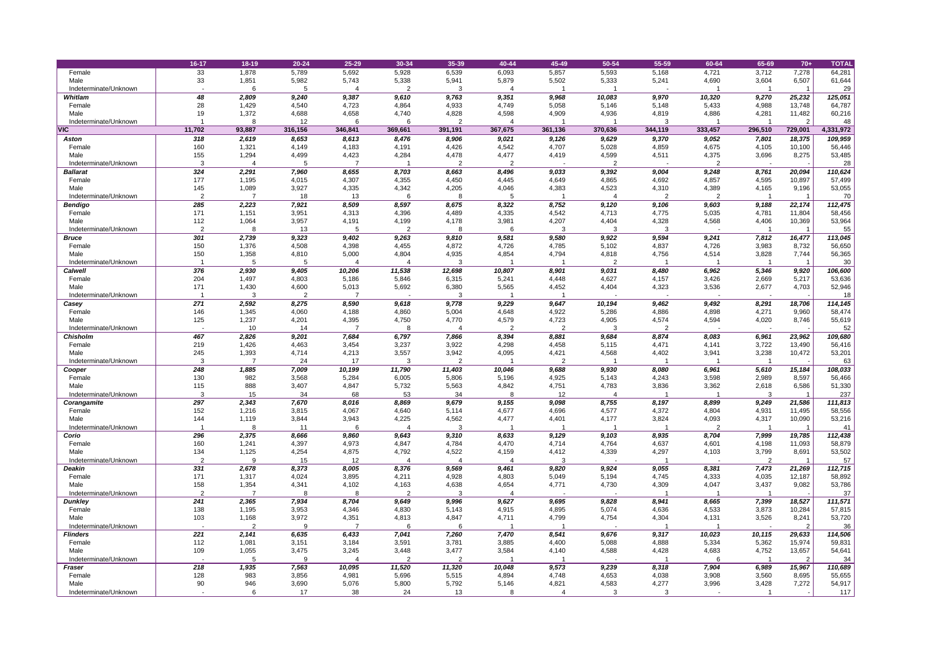|                                | 16-17      | 18-19          | $20 - 24$      | 25-29          | 30-34          | 35-39          | 40-44          | 45-49          | 50-54          | 55-59          | 60-64          | 65-69          | $70+$                   | <b>TOTAL</b>      |
|--------------------------------|------------|----------------|----------------|----------------|----------------|----------------|----------------|----------------|----------------|----------------|----------------|----------------|-------------------------|-------------------|
| Female                         | 33         | 1,878          | 5,789          | 5,692          | 5,928          | 6,539          | 6,093          | 5,857          | 5,593          | 5,168          | 4,721          | 3,712          | 7,278                   | 64,281            |
| Male                           | 33         | 1,851          | 5,982          | 5,743          | 5,338          | 5,941          | 5,879          | 5,502          | 5,333          | 5,241          | 4,690          | 3,604          | 6,507                   | 61,644            |
| Indeterminate/Unknown          |            |                |                |                |                |                |                |                |                |                |                |                |                         | 29                |
| Whitlam                        | 48         | 2,809          | 9,240          | 9,387          | 9,610          | 9,763          | 9,351          | 9,968          | 10,083         | 9,970          | 10,320         | 9,270          | 25,232                  | 125,051           |
| Female                         | 28         | 1,429          | 4,540          | 4,723          | 4,864          | 4,933          | 4,749          | 5,058          | 5,146          | 5,148          | 5,433          | 4,988          | 13,748                  | 64,787            |
| Male                           | 19         | 1,372          | 4,688          | 4,658          | 4,740          | 4,828          | 4,598          | 4,909          | 4,936          | 4,819          | 4,886          | 4,281          | 11,482                  | 60,216            |
| Indeterminate/Unknown          |            |                | 12             | 6              |                |                |                |                |                | 3              |                |                | $\overline{2}$          | 48                |
| <b>VIC</b>                     | 11,702     | 93,887         | 316,156        | 346,841        | 369,661        | 391,191        | 367,675        | 361,136        | 370,636        | 344,119        | 333,457        | 296,510        | 729,001                 | 4,331,972         |
| <b>Aston</b><br>Female         | 318<br>160 | 2,619<br>1,321 | 8,653<br>4,149 | 8,613<br>4,183 | 8,476<br>4,191 | 8,906<br>4,426 | 9,021<br>4,542 | 9,126<br>4,707 | 9,629<br>5,028 | 9,370<br>4,859 | 9,052<br>4,675 | 7,801<br>4,105 | 18,375<br>10,100        | 109,959<br>56,446 |
| Male                           | 155        | 1,294          | 4,499          | 4,423          | 4,284          | 4,478          | 4,477          | 4,419          | 4,599          | 4,511          | 4,375          | 3,696          | 8,275                   | 53,485            |
| Indeterminate/Unknown          | 3          |                | -5             |                |                | $\overline{2}$ | $\overline{2}$ | $\sim$         | $\overline{2}$ | $\sim$         |                |                |                         | 28                |
| <b>Ballarat</b>                | 324        | 2,291          | 7,960          | 8,655          | 8,703          | 8,663          | 8,496          | 9,033          | 9,392          | 9,004          | 9,248          | 8,761          | 20,094                  | 110,624           |
| Female                         | 177        | 1,195          | 4,015          | 4,307          | 4,355          | 4,450          | 4,445          | 4,649          | 4,865          | 4,692          | 4,857          | 4,595          | 10,897                  | 57,499            |
| Male                           | 145        | 1,089          | 3,927          | 4,335          | 4,342          | 4,205          | 4,046          | 4,383          | 4,523          | 4,310          | 4,389          | 4,165          | 9,196                   | 53,055            |
| Indeterminate/Unknown          | ົ          |                | 18             | 13             | 6              |                |                |                |                | $\overline{2}$ | 2              |                |                         | 70                |
| <b>Bendigo</b>                 | 285        | 2,223          | 7,921          | 8,509          | 8,597          | 8,675          | 8,322          | 8,752          | 9,120          | 9,106          | 9,603          | 9,188          | 22,174                  | 112,475           |
| Female                         | 171        | 1,151          | 3,951          | 4,313          | 4,396          | 4,489          | 4,335          | 4,542          | 4,713          | 4,775          | 5,035          | 4,781          | 11,804                  | 58,456            |
| Male                           | 112<br>ົ   | 1,064          | 3,957          | 4,191          | 4,199          | 4,178          | 3,981          | 4,207          | 4,404          | 4,328          | 4,568          | 4,406          | 10,369                  | 53,964            |
| Indeterminate/Unknown          |            |                | 13             |                |                |                |                |                |                | 3              |                |                |                         | 55                |
| <b>Bruce</b><br>Female         | 301<br>150 | 2,739<br>1,376 | 9,323<br>4,508 | 9,402<br>4,398 | 9,263<br>4,455 | 9,810<br>4,872 | 9,581<br>4,726 | 9,580<br>4,785 | 9,922<br>5,102 | 9,594<br>4,837 | 9,241<br>4,726 | 7,812<br>3,983 | 16,477<br>8,732         | 113,045<br>56,650 |
| Male                           | 150        | 1,358          | 4,810          | 5,000          | 4,804          | 4,935          | 4,854          | 4,794          | 4,818          | 4,756          | 4,514          | 3,828          | 7,744                   | 56,365            |
| Indeterminate/Unknown          |            |                |                |                |                | 3              |                |                | $\overline{2}$ |                |                |                |                         | 30                |
| <b>Calwell</b>                 | 376        | 2,930          | 9,405          | 10,206         | 11,538         | 12,698         | 10,807         | 8,901          | 9,031          | 8,480          | 6,962          | 5,346          | 9,920                   | 106,600           |
| Female                         | 204        | 1,497          | 4,803          | 5,186          | 5,846          | 6,315          | 5,241          | 4,448          | 4,627          | 4,157          | 3,426          | 2,669          | 5,217                   | 53,636            |
| Male                           | 171        | 1,430          | 4,600          | 5,013          | 5,692          | 6,380          | 5,565          | 4,452          | 4,404          | 4,323          | 3,536          | 2,677          | 4,703                   | 52,946            |
| Indeterminate/Unknown          |            | 3              | $\overline{2}$ |                | $\sim$         | -3             |                |                |                | $\sim$         |                |                |                         | 18                |
| Casey                          | 271        | 2,592          | 8,275          | 8,590          | 9,618          | 9,778          | 9,229          | 9,647          | 10,194         | 9,462          | 9,492          | 8,291          | 18,706                  | 114,145           |
| Female                         | 146        | 1,345          | 4,060          | 4,188          | 4,860          | 5,004          | 4,648          | 4,922          | 5,286          | 4,886          | 4,898          | 4,271          | 9,960                   | 58,474            |
| Male                           | 125        | 1,237          | 4,201          | 4,395          | 4,750          | 4,770          | 4,579          | 4,723          | 4,905          | 4,574          | 4,594          | 4,020          | 8,746                   | 55,619            |
| Indeterminate/Unknown          | 467        | 10             | 14             |                |                |                | - 2            |                | 9,684          | $\overline{2}$ |                |                |                         | 52                |
| <b>Chisholm</b><br>Female      | 219        | 2,826<br>1,426 | 9,201<br>4,463 | 7,684<br>3,454 | 6,797<br>3,237 | 7,866<br>3,922 | 8,394<br>4,298 | 8,881<br>4,458 | 5,115          | 8,874<br>4,471 | 8,083<br>4,141 | 6,961<br>3,722 | 23,962<br>13,490        | 109,680<br>56,416 |
| Male                           | 245        | 1,393          | 4,714          | 4,213          | 3,557          | 3,942          | 4,095          | 4,421          | 4,568          | 4,402          | 3,941          | 3,238          | 10,472                  | 53,201            |
| Indeterminate/Unknown          |            |                | 24             | 17             | 3              |                |                |                |                |                |                |                |                         | 63                |
| Cooper                         | 248        | 1,885          | 7,009          | 10,199         | 11,790         | 11,403         | 10,046         | 9,688          | 9,930          | 8,080          | 6,961          | 5,610          | 15,184                  | 108,033           |
| Female                         | 130        | 982            | 3,568          | 5,284          | 6,005          | 5,806          | 5,196          | 4,925          | 5,143          | 4,243          | 3,598          | 2,989          | 8,597                   | 56,466            |
| Male                           | 115        | 888            | 3,407          | 4,847          | 5,732          | 5,563          | 4,842          | 4,751          | 4,783          | 3,836          | 3,362          | 2,618          | 6,586                   | 51,330            |
| Indeterminate/Unknown          | 3          | 15             | 34             | 68             | 53             | 34             |                | 12             |                |                |                |                |                         | 237               |
| Corangamite                    | 297        | 2,343          | 7,670          | 8,016          | 8,869          | 9,679          | 9,155          | 9,098          | 8,755          | 8,197          | 8,899          | 9,249          | 21,586                  | 111,813           |
| Female                         | 152        | 1,216          | 3,815          | 4,067          | 4,640          | 5,114          | 4,677          | 4,696          | 4,577          | 4,372          | 4,804          | 4,931          | 11,495                  | 58,556            |
| Male                           | 144        | 1,119          | 3,844          | 3,943          | 4,225          | 4,562          | 4,477          | 4,401          | 4,177          | 3,824          | 4,093          | 4,317          | 10,090                  | 53,216            |
| Indeterminate/Unknown<br>Corio | 296        | 2,375          | 11<br>8,666    | 6<br>9,860     | 9,643          | 9,310          | 8,633          | 9,129          | 9,103          | 8,935          | 8,704          | 7,999          | 19,785                  | 41<br>112,438     |
| Female                         | 160        | 1,241          | 4,397          | 4,973          | 4,847          | 4,784          | 4,470          | 4,714          | 4,764          | 4,637          | 4,601          | 4,198          | 11,093                  | 58,879            |
| Male                           | 134        | 1,125          | 4,254          | 4,875          | 4,792          | 4,522          | 4,159          | 4,412          | 4,339          | 4,297          | 4,103          | 3,799          | 8,691                   | 53,502            |
| Indeterminate/Unknown          | 2          |                | 15             | 12             |                |                |                |                |                |                |                | $\overline{2}$ |                         | 57                |
| <b>Deakin</b>                  | 331        | 2,678          | 8,373          | 8,005          | 8,376          | 9,569          | 9,461          | 9,820          | 9,924          | 9,055          | 8,381          | 7,473          | 21,269                  | 112,715           |
| Female                         | 171        | 1,317          | 4,024          | 3,895          | 4,211          | 4,928          | 4,803          | 5,049          | 5,194          | 4,745          | 4,333          | 4,035          | 12,187                  | 58,892            |
| Male                           | 158        | 1,354          | 4,341          | 4,102          | 4,163          | 4,638          | 4,654          | 4,771          | 4,730          | 4,309          | 4,047          | 3,437          | 9,082                   | 53,786            |
| Indeterminate/Unknown          | ົ          |                |                |                | $\overline{2}$ |                |                |                |                |                |                |                |                         | 37                |
| <b>Dunkley</b>                 | 241        | 2,365          | 7,934          | 8,704          | 9,649          | 9,996          | 9,627          | 9,695          | 9,828          | 8,941          | 8,665          | 7,399          | 18,527                  | 111,571           |
| Female                         | 138        | 1,195          | 3,953          | 4,346          | 4,830          | 5,143          | 4,915          | 4,895          | 5,074          | 4,636          | 4,533          | 3,873          | 10,284                  | 57,815            |
| Male<br>Indeterminate/Unknown  | 103        | 1,168<br>ົາ    | 3,972<br>-9    | 4,351          | 4,813<br>6     | 4,847          | 4,711          | 4,799          | 4,754          | 4,304          | 4,131          | 3,526          | 8,241<br>$\overline{2}$ | 53,720<br>36      |
| <b>Flinders</b>                | 221        | 2,141          | 6,635          | 6,433          | 7,041          | 7,260          | 7,470          | 8,541          | 9,676          | 9,317          | 10,023         | 10,115         | 29,633                  | 114,506           |
| Female                         | 112        | 1,081          | 3,151          | 3,184          | 3,591          | 3,781          | 3,885          | 4,400          | 5,088          | 4,888          | 5,334          | 5,362          | 15,974                  | 59,831            |
| Male                           | 109        | 1,055          | 3,475          | 3,245          | 3,448          | 3,477          | 3,584          | 4,140          | 4,588          | 4,428          | 4,683          | 4,752          | 13,657                  | 54,641            |
| Indeterminate/Unknown          |            |                |                |                | $\overline{2}$ |                |                |                |                |                |                |                | $\overline{2}$          | 34                |
| <b>Fraser</b>                  | 218        | 1,935          | 7,563          | 10,095         | 11,520         | 11,320         | 10,048         | 9,573          | 9,239          | 8,318          | 7,904          | 6,989          | 15,967                  | 110,689           |
| Female                         | 128        | 983            | 3,856          | 4,981          | 5,696          | 5,515          | 4,894          | 4,748          | 4,653          | 4,038          | 3,908          | 3,560          | 8,695                   | 55,655            |
| Male                           | 90         | 946            | 3,690          | 5,076          | 5,800          | 5,792          | 5,146          | 4,821          | 4,583          | 4,277          | 3,996          | 3,428          | 7,272                   | 54,917            |
| Indeterminate/Unknown          |            |                | 17             | 38             | 24             | 13             |                |                |                |                |                |                |                         | 117               |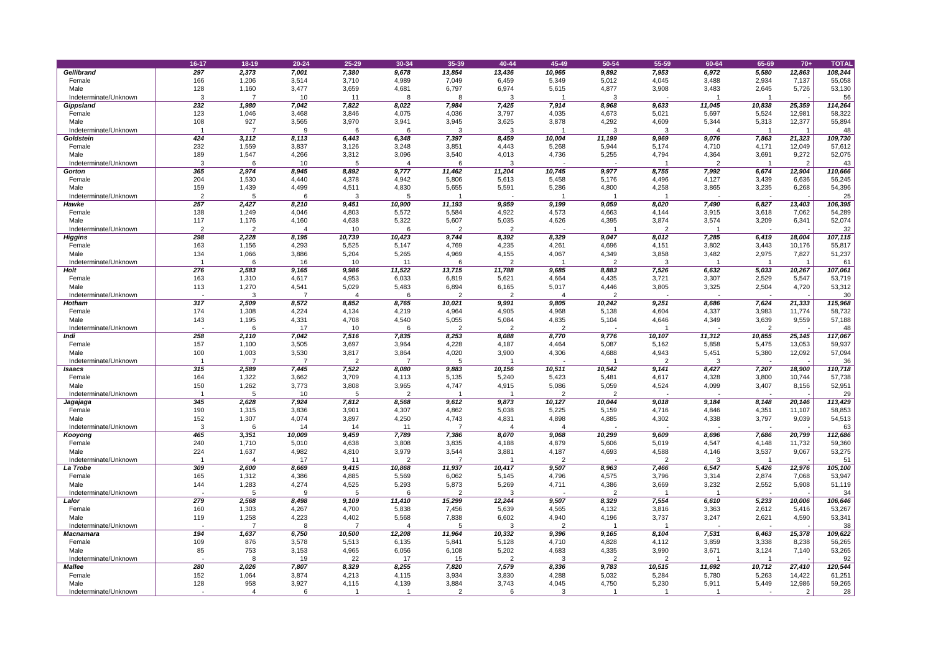|                                      | 16-17          | $18 - 19$      | $20 - 24$      | 25-29          | 30-34          | 35-39          | 40-44          | 45-49          | 50-54                   | 55-59                    | 60-64           | 65-69          | $70+$            | <b>TOTAL</b>      |
|--------------------------------------|----------------|----------------|----------------|----------------|----------------|----------------|----------------|----------------|-------------------------|--------------------------|-----------------|----------------|------------------|-------------------|
| <b>Gellibrand</b>                    | 297            | 2,373          | 7,001          | 7,380          | 9,678          | 13,854         | 13,436         | 10,965         | 9,892                   | 7,953                    | 6,972           | 5,580          | 12,863           | 108,244           |
| Female                               | 166            | 1,206          | 3,514          | 3,710          | 4,989          | 7,049          | 6,459          | 5,349          | 5,012                   | 4,045                    | 3,488           | 2,934          | 7,137            | 55,058            |
| Male                                 | 128            | 1,160          | 3,477          | 3,659          | 4,681          | 6,797          | 6,974          | 5,615          | 4,877                   | 3,908                    | 3,483           | 2,645          | 5,726            | 53,130            |
| Indeterminate/Unknown                | 3<br>232       | 1,980          | 10<br>7,042    | 11<br>7,822    | 8,022          | 7,984          | 7,425          | 7,914          | 8,968                   | 9,633                    |                 | 10,838         |                  | 56                |
| Gippsland<br>Female                  | 123            | 1,046          | 3,468          | 3,846          | 4,075          | 4,036          | 3,797          | 4,035          | 4,673                   | 5,021                    | 11,045<br>5,697 | 5,524          | 25,359<br>12,981 | 114,264<br>58,322 |
| Male                                 | 108            | 927            | 3,565          | 3,970          | 3,941          | 3,945          | 3,625          | 3,878          | 4,292                   | 4,609                    | 5,344           | 5,313          | 12,377           | 55,894            |
| Indeterminate/Unknown                |                |                | -9             |                |                |                | 3              |                | 3                       | 3                        |                 |                |                  | 48                |
| <b>Goldstein</b>                     | 424            | 3,112          | 8,113          | 6,443          | 6,348          | 7,397          | 8,459          | 10,004         | 11,199                  | 9,969                    | 9,076           | 7,863          | 21,323           | 109,730           |
| Female                               | 232            | 1,559          | 3,837          | 3,126          | 3,248          | 3,851          | 4,443          | 5,268          | 5,944                   | 5,174                    | 4,710           | 4,171          | 12,049           | 57,612            |
| Male                                 | 189            | 1,547          | 4,266          | 3,312          | 3,096          | 3,540          | 4,013          | 4,736          | 5,255                   | 4,794                    | 4,364           | 3,691          | 9,272            | 52,075            |
| Indeterminate/Unknown                |                |                | 10             |                |                |                |                |                |                         |                          |                 |                | $\overline{2}$   | 43                |
| <b>Gorton</b>                        | 365            | 2,974          | 8,945          | 8,892          | 9,777          | 11,462         | 11,204         | 10,745         | 9,977                   | 8,755                    | 7,992           | 6,674          | 12,904           | 110,666           |
| Female<br>Male                       | 204<br>159     | 1,530<br>1,439 | 4,440<br>4,499 | 4,378<br>4,511 | 4,942<br>4,830 | 5,806<br>5,655 | 5,613<br>5,591 | 5,458<br>5,286 | 5,176<br>4,800          | 4,496<br>4,258           | 4,127<br>3,865  | 3,439<br>3,235 | 6,636<br>6,268   | 56,245<br>54,396  |
| Indeterminate/Unknown                | ົ              |                |                | 3              |                |                |                |                |                         |                          |                 |                |                  | 25                |
| Hawke                                | 257            | 2,427          | 8,210          | 9,451          | 10,900         | 11,193         | 9,959          | 9,199          | 9,059                   | 8,020                    | 7,490           | 6,827          | 13,403           | 106,395           |
| Female                               | 138            | 1,249          | 4,046          | 4,803          | 5,572          | 5,584          | 4,922          | 4,573          | 4,663                   | 4,144                    | 3,915           | 3,618          | 7,062            | 54,289            |
| Male                                 | 117            | 1,176          | 4,160          | 4,638          | 5,322          | 5,607          | 5,035          | 4,626          | 4,395                   | 3,874                    | 3,574           | 3,209          | 6,341            | 52,074            |
| Indeterminate/Unknown                | $\overline{2}$ | $\Omega$       |                | 10             |                |                | $\overline{2}$ |                |                         | $\overline{2}$           |                 |                |                  | 32                |
| <b>Higgins</b>                       | 298            | 2,228          | 8,195          | 10,739         | 10,423         | 9,744          | 8,392          | 8,329          | 9,047                   | 8,012                    | 7,285           | 6,419          | 18,004           | 107,115           |
| Female                               | 163            | 1,156          | 4,293          | 5,525          | 5,147          | 4,769          | 4,235          | 4,261          | 4,696                   | 4,151                    | 3,802           | 3,443          | 10,176           | 55,817            |
| Male                                 | 134            | 1,066          | 3,886          | 5,204          | 5,265          | 4,969          | 4,155<br>റ     | 4,067          | 4,349                   | 3,858                    | 3,482           | 2,975          | 7,827            | 51,237            |
| Indeterminate/Unknown<br><b>Holt</b> | 276            | 2,583          | 16<br>9,165    | 10<br>9,986    | 11<br>11,522   | 13,715         | 11,788         | 9,685          | 8,883                   | 3<br>7,526               | 6,632           | 5,033          | 10,267           | 61<br>107,061     |
| Female                               | 163            | 1,310          | 4,617          | 4,953          | 6,033          | 6,819          | 5,621          | 4,664          | 4,435                   | 3,721                    | 3,307           | 2,529          | 5,547            | 53,719            |
| Male                                 | 113            | 1,270          | 4,541          | 5,029          | 5,483          | 6,894          | 6,165          | 5,017          | 4,446                   | 3,805                    | 3,325           | 2,504          | 4,720            | 53,312            |
| Indeterminate/Unknown                |                |                |                |                |                |                | റ              |                | റ                       | $\overline{\phantom{0}}$ |                 |                |                  | 30                |
| <b>Hotham</b>                        | 317            | 2,509          | 8,572          | 8,852          | 8,765          | 10,021         | 9,991          | 9,805          | 10,242                  | 9,251                    | 8,686           | 7,624          | 21,333           | 115,968           |
| Female                               | 174            | 1,308          | 4,224          | 4,134          | 4,219          | 4,964          | 4,905          | 4,968          | 5,138                   | 4,604                    | 4,337           | 3,983          | 11,774           | 58,732            |
| Male                                 | 143            | 1,195          | 4,331          | 4,708          | 4,540          | 5,055          | 5,084          | 4,835          | 5,104                   | 4,646                    | 4,349           | 3,639          | 9,559            | 57,188            |
| Indeterminate/Unknown                |                |                | 17             | 10             |                |                | റ              |                |                         |                          |                 |                |                  | 48                |
| Indi                                 | 258<br>157     | 2,110          | 7,042<br>3,505 | 7,516          | 7,835          | 8,253<br>4,228 | 8,088          | 8,770<br>4,464 | 9,776                   | 10,107                   | 11,312          | 10,855         | 25,145           | 117,067           |
| Female<br>Male                       | 100            | 1,100<br>1,003 | 3,530          | 3,697<br>3,817 | 3,964<br>3,864 | 4,020          | 4,187<br>3,900 | 4,306          | 5,087<br>4,688          | 5,162<br>4,943           | 5,858<br>5,451  | 5,475<br>5,380 | 13,053<br>12,092 | 59,937<br>57,094  |
| Indeterminate/Unknown                |                |                |                |                |                |                |                |                |                         |                          |                 |                |                  | 36                |
| Isaacs                               | 315            | 2,589          | 7,445          | 7,522          | 8,080          | 9,883          | 10,156         | 10,511         | 10,542                  | 9,141                    | 8,427           | 7,207          | 18,900           | 110,718           |
| Female                               | 164            | 1,322          | 3,662          | 3,709          | 4,113          | 5,135          | 5,240          | 5,423          | 5,481                   | 4,617                    | 4,328           | 3,800          | 10,744           | 57,738            |
| Male                                 | 150            | 1,262          | 3,773          | 3,808          | 3,965          | 4,747          | 4,915          | 5,086          | 5,059                   | 4,524                    | 4,099           | 3,407          | 8,156            | 52,951            |
| Indeterminate/Unknown                |                |                | 10             | 5              | $\overline{2}$ |                |                | 2              |                         |                          |                 |                |                  | 29                |
| Jagajaga                             | 345            | 2,628          | 7,924          | 7,812          | 8,568          | 9,612          | 9,873          | 10,127         | 10,044                  | 9,018                    | 9,184           | 8,148          | 20,146           | 113,429           |
| Female<br>Male                       | 190            | 1,315          | 3,836          | 3,901          | 4,307          | 4,862          | 5,038          | 5,225          | 5,159                   | 4,716                    | 4,846           | 4,351          | 11,107           | 58,853            |
| Indeterminate/Unknown                | 152<br>3       | 1,307          | 4,074<br>14    | 3,897<br>14    | 4,250<br>11    | 4,743          | 4,831          | 4,898          | 4,885                   | 4,302                    | 4,338           | 3,797          | 9,039            | 54,513<br>63      |
| Kooyong                              | 465            | 3,351          | 10,009         | 9,459          | 7,789          | 7,386          | 8,070          | 9,068          | 10,299                  | 9,609                    | 8,696           | 7,686          | 20,799           | 112,686           |
| Female                               | 240            | 1,710          | 5,010          | 4,638          | 3,808          | 3,835          | 4,188          | 4,879          | 5,606                   | 5,019                    | 4,547           | 4,148          | 11,732           | 59,360            |
| Male                                 | 224            | 1,637          | 4,982          | 4,810          | 3,979          | 3,544          | 3,881          | 4,187          | 4,693                   | 4,588                    | 4,146           | 3,537          | 9,067            | 53,275            |
| Indeterminate/Unknown                |                |                | 17             | 11             |                |                |                |                |                         | 2                        |                 |                |                  | 51                |
| La Trobe                             | 309            | 2,600          | 8,669          | 9,415          | 10,868         | 11,937         | 10,417         | 9,507          | 8,963                   | 7,466                    | 6,547           | 5,426          | 12,976           | 105,100           |
| Female                               | 165            | 1,312          | 4,386          | 4,885          | 5,569          | 6,062          | 5,145          | 4,796          | 4,575                   | 3,796                    | 3,314           | 2,874          | 7,068            | 53,947            |
| Male                                 | 144            | 1,283          | 4,274          | 4,525          | 5,293          | 5,873          | 5,269          | 4,711          | 4,386                   | 3,669                    | 3,232           | 2,552          | 5,908            | 51,119            |
| Indeterminate/Unknown<br>Lalor       | 279            | 2,568          | -9<br>8,498    | 5<br>9,109     | 11,410         | 15,299         | 3<br>12,244    | 9,507          | $\overline{2}$<br>8,329 | 7,554                    | 6,610           | 5,233          | 10,006           | 34<br>106,646     |
| Female                               | 160            | 1,303          | 4,267          | 4,700          | 5,838          | 7,456          | 5,639          | 4,565          | 4,132                   | 3,816                    | 3,363           | 2,612          | 5,416            | 53,267            |
| Male                                 | 119            | 1,258          | 4,223          | 4,402          | 5,568          | 7,838          | 6,602          | 4,940          | 4,196                   | 3,737                    | 3,247           | 2,621          | 4,590            | 53,341            |
| Indeterminate/Unknown                |                |                |                |                |                |                |                |                |                         |                          |                 |                |                  | 38                |
| <b>Macnamara</b>                     | 194            | 1,637          | 6,750          | 10,500         | 12,208         | 11,964         | 10,332         | 9,396          | 9,165                   | 8,104                    | 7,531           | 6,463          | 15,378           | 109,622           |
| Female                               | 109            | 876            | 3,578          | 5,513          | 6,135          | 5,841          | 5,128          | 4,710          | 4,828                   | 4,112                    | 3,859           | 3,338          | 8,238            | 56,265            |
| Male                                 | 85             | 753            | 3,153          | 4,965          | 6,056          | 6,108          | 5,202          | 4,683          | 4,335                   | 3,990                    | 3,671           | 3,124          | 7,140            | 53,265            |
| Indeterminate/Unknown                |                |                | 19             | 22             | 17             | 15             |                |                | $\overline{2}$          | $\overline{2}$           |                 |                |                  | 92                |
| <b>Mallee</b>                        | 280            | 2,026          | 7,807          | 8,329          | 8,255          | 7,820          | 7,579          | 8,336          | 9,783                   | 10,515                   | 11,692          | 10,712         | 27,410           | 120,544           |
| Female<br>Male                       | 152<br>128     | 1,064<br>958   | 3,874<br>3,927 | 4,213<br>4,115 | 4,115<br>4,139 | 3,934<br>3,884 | 3,830<br>3,743 | 4,288<br>4,045 | 5,032<br>4,750          | 5,284<br>5,230           | 5,780           | 5,263<br>5,449 | 14,422           | 61,251            |
| Indeterminate/Unknown                |                |                |                |                |                |                |                |                |                         |                          | 5,911           |                | 12,986<br>2      | 59,265<br>28      |
|                                      |                |                |                |                |                |                |                |                |                         |                          |                 |                |                  |                   |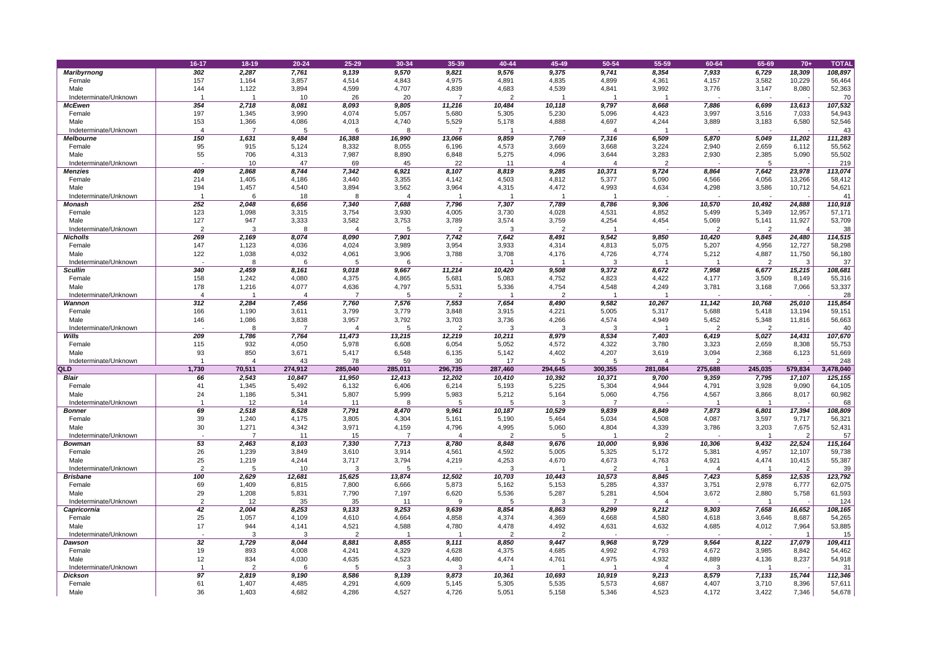|                               | 16-17      | $18 - 19$      | $20 - 24$      | 25-29                    | 30-34          | 35-39          | 40-44          | 45-49          | 50-54          | 55-59                   | 60-64          | 65-69          | $70+$           | <b>TOTAL</b>     |
|-------------------------------|------------|----------------|----------------|--------------------------|----------------|----------------|----------------|----------------|----------------|-------------------------|----------------|----------------|-----------------|------------------|
| <b>Maribyrnong</b>            | 302        | 2,287          | 7,761          | 9,139                    | 9,570          | 9,821          | 9,576          | 9,375          | 9,741          | 8,354                   | 7,933          | 6,729          | 18,309          | 108,897          |
| Female                        | 157        | 1,164          | 3,857          | 4,514                    | 4,843          | 4,975          | 4,891          | 4,835          | 4,899          | 4,361                   | 4,157          | 3,582          | 10,229          | 56,464           |
| Male                          | 144        | 1,122          | 3,894          | 4,599                    | 4,707          | 4,839          | 4,683          | 4,539          | 4,841          | 3,992                   | 3,776          | 3,147          | 8,080           | 52,363           |
| Indeterminate/Unknown         |            |                | 10             | 26                       | 20             |                |                |                |                |                         |                |                |                 | 70               |
| <b>McEwen</b>                 | 354        | 2,718          | 8,081          | 8,093                    | 9,805          | 11,216         | 10,484         | 10,118         | 9,797          | 8,668                   | 7,886          | 6,699          | 13,613          | 107,532          |
| Female                        | 197        | 1,345          | 3,990          | 4,074                    | 5,057          | 5,680          | 5,305          | 5,230          | 5,096          | 4,423                   | 3,997          | 3,516          | 7,033           | 54,943           |
| Male                          | 153        | 1,366          | 4,086          | 4,013                    | 4,740          | 5,529          | 5,178          | 4,888          | 4,697          | 4,244                   | 3,889          | 3,183          | 6,580           | 52,546           |
| Indeterminate/Unknown         |            |                |                |                          |                |                |                |                |                |                         |                |                |                 | 43               |
| <b>Melbourne</b>              | 150        | 1,631          | 9,484          | 16,388                   | 16,990         | 13,066         | 9,859          | 7,769          | 7,316          | 6,509                   | 5,870          | 5,049          | 11,202          | 111,283          |
| Female<br>Male                | 95<br>55   | 915<br>706     | 5,124          | 8,332<br>7,987           | 8,055<br>8,890 | 6,196<br>6,848 | 4,573<br>5,275 | 3,669<br>4,096 | 3,668<br>3,644 | 3,224                   | 2,940<br>2,930 | 2,659<br>2,385 | 6,112<br>5,090  | 55,562           |
| Indeterminate/Unknown         |            | 10             | 4,313<br>47    | 69                       | 45             | 22             | 11             |                |                | 3,283<br>$\overline{2}$ |                |                |                 | 55,502<br>219    |
| <b>Menzies</b>                | 409        | 2,868          | 8,744          | 7,342                    | 6,921          | 8,107          | 8,819          | 9,285          | 10,371         | 9,724                   | 8,864          | 7,642          | 23,978          | 113,074          |
| Female                        | 214        | 1,405          | 4,186          | 3,440                    | 3,355          | 4,142          | 4,503          | 4,812          | 5,377          | 5,090                   | 4,566          | 4,056          | 13,266          | 58,412           |
| Male                          | 194        | 1,457          | 4,540          | 3,894                    | 3,562          | 3,964          | 4,315          | 4,472          | 4,993          | 4,634                   | 4,298          | 3,586          | 10,712          | 54,621           |
| Indeterminate/Unknown         |            |                | 18             |                          |                |                |                |                |                |                         |                |                |                 | 41               |
| <b>Monash</b>                 | 252        | 2,048          | 6,656          | 7,340                    | 7,688          | 7,796          | 7,307          | 7,789          | 8,786          | 9,306                   | 10,570         | 10,492         | 24,888          | 110,918          |
| Female                        | 123        | 1,098          | 3,315          | 3,754                    | 3,930          | 4,005          | 3,730          | 4,028          | 4,531          | 4,852                   | 5,499          | 5,349          | 12,957          | 57,171           |
| Male                          | 127        | 947            | 3,333          | 3,582                    | 3,753          | 3,789          | 3,574          | 3,759          | 4,254          | 4,454                   | 5,069          | 5,141          | 11,927          | 53,709           |
| Indeterminate/Unknown         | 2          |                | 8              |                          |                | $\overline{2}$ | 3              | 2              |                |                         | $\mathcal{P}$  | റ              |                 | 38               |
| <b>Nicholls</b>               | 269        | 2,169          | 8,074          | 8,090                    | 7,901          | 7,742          | 7,642          | 8,491          | 9,542          | 9,850                   | 10,420         | 9,845          | 24,480          | 114,515          |
| Female                        | 147        | 1,123          | 4,036          | 4,024                    | 3,989          | 3,954          | 3,933          | 4,314          | 4,813          | 5,075                   | 5,207          | 4,956          | 12,727          | 58,298           |
| Male                          | 122        | 1,038          | 4,032          | 4,061                    | 3,906          | 3,788          | 3,708          | 4,176          | 4,726          | 4,774                   | 5,212          | 4,887          | 11,750          | 56,180           |
| Indeterminate/Unknown         |            |                | 6              |                          |                |                |                |                | 3              |                         |                |                | 3               | 37               |
| <b>Scullin</b>                | 340        | 2,459          | 8,161          | 9,018                    | 9,667          | 11,214         | 10,420         | 9,508          | 9,372          | 8,672                   | 7,958          | 6,677          | 15,215          | 108,681          |
| Female<br>Male                | 158<br>178 | 1,242<br>1,216 | 4,080<br>4,077 | 4,375<br>4,636           | 4,865<br>4,797 | 5,681<br>5,531 | 5,083          | 4,752<br>4,754 | 4,823          | 4,422<br>4,249          | 4,177<br>3,781 | 3,509          | 8,149<br>7,066  | 55,316           |
| Indeterminate/Unknown         |            |                |                | $\overline{\phantom{a}}$ |                | റ              | 5,336          | $\overline{2}$ | 4,548          |                         |                | 3,168          |                 | 53,337<br>28     |
| Wannon                        | 312        | 2,284          | 7,456          | 7,760                    | 7,576          | 7,553          | 7,654          | 8,490          | 9,582          | 10,267                  | 11,142         | 10,768         | 25,010          | 115,854          |
| Female                        | 166        | 1,190          | 3,611          | 3,799                    | 3,779          | 3,848          | 3,915          | 4,221          | 5,005          | 5,317                   | 5,688          | 5,418          | 13,194          | 59,151           |
| Male                          | 146        | 1,086          | 3,838          | 3,957                    | 3,792          | 3,703          | 3,736          | 4,266          | 4,574          | 4,949                   | 5,452          | 5,348          | 11,816          | 56,663           |
| Indeterminate/Unknown         |            |                |                |                          |                |                | 3              |                | 3              |                         |                |                |                 | 40               |
| Wills                         | 209        | 1,786          | 7,764          | 11,473                   | 13,215         | 12,219         | 10,211         | 8,979          | 8,534          | 7,403                   | 6,419          | 5,027          | 14,431          | 107,670          |
| Female                        | 115        | 932            | 4,050          | 5,978                    | 6,608          | 6,054          | 5,052          | 4,572          | 4,322          | 3,780                   | 3,323          | 2,659          | 8,308           | 55,753           |
| Male                          | 93         | 850            | 3,671          | 5,417                    | 6,548          | 6,135          | 5,142          | 4,402          | 4,207          | 3,619                   | 3,094          | 2,368          | 6,123           | 51,669           |
| Indeterminate/Unknown         |            |                | 43             | 78                       | 59             | 30             | 17             |                |                |                         |                |                |                 | 248              |
| <b>QLD</b>                    | 1,730      | 70,511         | 274,912        | 285,040                  | 285,011        | 296,735        | 287,460        | 294,645        | 300,355        | 281,084                 | 275,688        | 245,035        | 579,834         | 3,478,040        |
| <b>Blair</b>                  | 66         | 2,543          | 10,847         | 11,950                   | 12,413         | 12,202         | 10,410         | 10,392         | 10,371         | 9,700                   | 9,359          | 7,795          | 17,107          | 125, 155         |
| Female                        | 41         | 1,345          | 5,492          | 6,132                    | 6,406          | 6,214          | 5,193          | 5,225          | 5,304          | 4,944                   | 4,791          | 3,928          | 9,090           | 64,105           |
| Male<br>Indeterminate/Unknown | 24         | 1,186<br>12    | 5,341<br>14    | 5,807<br>11              | 5,999          | 5,983          | 5,212          | 5,164          | 5,060          | 4,756                   | 4,567          | 3,866          | 8,017           | 60,982           |
| <b>Bonner</b>                 | 69         | 2,518          | 8,528          | 7,791                    | 8,470          | 9,961          | 10,187         | 10,529         | 9,839          | 8,849                   | 7,873          | 6,801          | 17,394          | 68<br>108,809    |
| Female                        | 39         | 1,240          | 4,175          | 3,805                    | 4,304          | 5,161          | 5,190          | 5,464          | 5,034          | 4,508                   | 4,087          | 3,597          | 9,717           | 56,321           |
| Male                          | 30         | 1,271          | 4,342          | 3,971                    | 4,159          | 4,796          | 4,995          | 5,060          | 4,804          | 4,339                   | 3,786          | 3,203          | 7,675           | 52,431           |
| Indeterminate/Unknown         |            |                | 11             | 15                       |                |                |                |                |                | $\overline{2}$          |                |                | $\overline{2}$  | 57               |
| <b>Bowman</b>                 | 53         | 2,463          | 8,103          | 7,330                    | 7,713          | 8,780          | 8,848          | 9,676          | 10,000         | 9,936                   | 10,306         | 9,432          | 22,524          | 115,164          |
| Female                        | 26         | 1,239          | 3,849          | 3,610                    | 3,914          | 4,561          | 4,592          | 5,005          | 5,325          | 5,172                   | 5,381          | 4,957          | 12,107          | 59,738           |
| Male                          | 25         | 1,219          | 4,244          | 3,717                    | 3,794          | 4,219          | 4,253          | 4,670          | 4,673          | 4,763                   | 4,921          | 4,474          | 10,415          | 55,387           |
| Indeterminate/Unknown         |            |                | 10             | 3                        |                |                |                |                |                |                         |                |                | $\overline{2}$  | 39               |
| <b>Brisbane</b>               | 100        | 2,629          | 12,681         | 15,625                   | 13,874         | 12,502         | 10,703         | 10,443         | 10,573         | 8,845                   | 7,423          | 5,859          | 12,535          | 123,792          |
| Female                        | 69         | 1,409          | 6,815          | 7,800                    | 6,666          | 5,873          | 5,162          | 5,153          | 5,285          | 4,337                   | 3,751          | 2,978          | 6,777           | 62,075           |
| Male                          | 29<br>⌒    | 1,208          | 5,831          | 7,790                    | 7,197          | 6,620          | 5,536          | 5,287          | 5,281          | 4,504                   | 3,672          | 2,880          | 5,758           | 61,593           |
| Indeterminate/Unknown         |            | 12             | 35             | 35                       | 11             |                |                |                |                |                         |                |                |                 | 124              |
| Capricornia                   | 42<br>25   | 2,004<br>1,057 | 8,253<br>4,109 | 9,133<br>4,610           | 9,253          | 9,639<br>4,858 | 8,854<br>4,374 | 8,863<br>4,369 | 9,299<br>4,668 | 9,212                   | 9,303<br>4,618 | 7,658<br>3,646 | 16,652<br>8,687 | 108,165          |
| Female<br>Male                | 17         | 944            | 4,141          | 4,521                    | 4,664<br>4,588 | 4,780          | 4,478          | 4,492          | 4,631          | 4,580<br>4,632          | 4,685          | 4,012          | 7,964           | 54,265<br>53,885 |
| Indeterminate/Unknown         |            |                | 3              | $\overline{2}$           |                |                |                | റ              |                |                         |                |                |                 | 15               |
| <b>Dawson</b>                 | 32         | 1,729          | 8,044          | 8,881                    | 8,855          | 9,111          | 8,850          | 9,447          | 9,968          | 9,729                   | 9,564          | 8,122          | 17,079          | 109,411          |
| Female                        | 19         | 893            | 4,008          | 4,241                    | 4,329          | 4,628          | 4,375          | 4,685          | 4,992          | 4,793                   | 4,672          | 3,985          | 8,842           | 54,462           |
| Male                          | 12         | 834            | 4,030          | 4,635                    | 4,523          | 4,480          | 4,474          | 4,761          | 4,975          | 4,932                   | 4,889          | 4,136          | 8,237           | 54,918           |
| Indeterminate/Unknown         |            |                |                |                          |                | -3             |                |                |                |                         |                |                |                 | 31               |
| Dickson                       | 97         | 2,819          | 9,190          | 8,586                    | 9,139          | 9,873          | 10,361         | 10,693         | 10,919         | 9,213                   | 8,579          | 7,133          | 15,744          | 112,346          |
| Female                        | 61         | 1,407          | 4,485          | 4,291                    | 4,609          | 5,145          | 5,305          | 5,535          | 5,573          | 4,687                   | 4,407          | 3,710          | 8,396           | 57,611           |
| Male                          | 36         | 1,403          | 4,682          | 4,286                    | 4,527          | 4,726          | 5,051          | 5,158          | 5,346          | 4,523                   | 4,172          | 3,422          | 7,346           | 54,678           |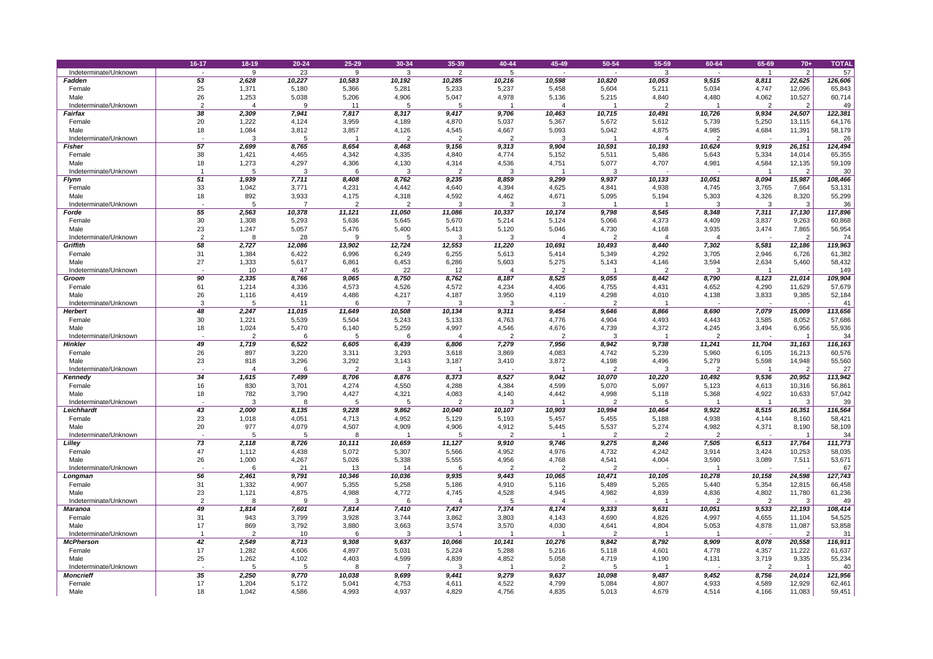|                                | 16-17                    | 18-19          | $20 - 24$      | 25-29          | 30-34          | 35-39          | 40-44          | 45-49                   | 50-54           | 55-59           | 60-64           | 65-69          | $70+$            | <b>TOTAL</b>      |
|--------------------------------|--------------------------|----------------|----------------|----------------|----------------|----------------|----------------|-------------------------|-----------------|-----------------|-----------------|----------------|------------------|-------------------|
| Indeterminate/Unknown          | $\sim$                   | -9             | 23             | 9              | $\mathbf{3}$   | 2              |                | $\sim$                  |                 | 3               |                 |                | $\overline{2}$   | 57                |
| <b>Fadden</b>                  | 53                       | 2,628          | 10,227         | 10,583         | 10,192         | 10,285         | 10,216         | 10,598                  | 10,820          | 10,053          | 9,515           | 8,811          | 22,625           | 126,606           |
| Female                         | 25                       | 1,371          | 5,180          | 5,366          | 5,281          | 5,233          | 5,237          | 5,458                   | 5,604           | 5,211           | 5,034           | 4,747          | 12,096           | 65,843            |
| Male                           | 26                       | 1,253          | 5,038          | 5,206          | 4,906          | 5,047          | 4,978          | 5,136                   | 5,215           | 4,840           | 4,480           | 4,062          | 10,527           | 60,714            |
| Indeterminate/Unknown          | ົ                        |                |                | 11             |                | 5              |                |                         |                 | 2               |                 | $\overline{2}$ | $\overline{2}$   | 49                |
| <b>Fairfax</b>                 | 38                       | 2,309          | 7,941          | 7,817          | 8,317          | 9,417          | 9,706          | 10,463                  | 10,715          | 10,491          | 10,726          | 9,934          | 24,507           | 122,381           |
| Female                         | 20                       | 1,222          | 4,124          | 3,959          | 4,189          | 4,870          | 5,037          | 5,367                   | 5,672           | 5,612           | 5,739           | 5,250          | 13,115           | 64,176            |
| Male                           | 18                       | 1,084          | 3,812          | 3,857          | 4,126          | 4,545          | 4,667          | 5,093                   | 5,042           | 4,875           | 4,985           | 4,684          | 11,391           | 58,179            |
| Indeterminate/Unknown          |                          |                |                |                |                |                |                |                         |                 |                 |                 |                |                  | 26                |
| <b>Fisher</b>                  | 57<br>38                 | 2,699<br>1,421 | 8,765<br>4,465 | 8,654<br>4,342 | 8,468          | 9,156<br>4,840 | 9,313<br>4,774 | 9,904<br>5,152          | 10,591<br>5,511 | 10,193<br>5,486 | 10,624<br>5,643 | 9,919<br>5,334 | 26,151           | 124,494<br>65,355 |
| Female<br>Male                 | 1۶                       | 1,273          | 4,297          | 4,306          | 4,335<br>4,130 | 4,314          | 4,536          | 4,751                   | 5,077           | 4,707           | 4,981           | 4,584          | 14,014<br>12,135 | 59,109            |
| Indeterminate/Unknown          |                          |                | 3              | 6              | 3              |                | 3              |                         | 3               |                 |                 |                | $\overline{2}$   | 30 <sup>°</sup>   |
| <b>Flynn</b>                   | 51                       | 1,939          | 7,711          | 8,408          | 8,762          | 9,235          | 8,859          | 9,299                   | 9,937           | 10,133          | 10,051          | 8,094          | 15,987           | 108,466           |
| Female                         | 33                       | 1,042          | 3,771          | 4,231          | 4,442          | 4,640          | 4,394          | 4,625                   | 4,841           | 4,938           | 4,745           | 3,765          | 7,664            | 53,131            |
| Male                           | 18                       | 892            | 3,933          | 4,175          | 4,318          | 4,592          | 4,462          | 4,671                   | 5,095           | 5,194           | 5,303           | 4,326          | 8,320            | 55,299            |
| Indeterminate/Unknown          |                          |                |                | ົ              | $\overline{2}$ |                |                |                         |                 |                 |                 |                | 3                | 36                |
| Forde                          | 55                       | 2,563          | 10,378         | 11,121         | 11,050         | 11,086         | 10,337         | 10,174                  | 9,798           | 8,545           | 8,348           | 7,311          | 17,130           | 117,896           |
| Female                         | 30                       | 1,308          | 5,293          | 5,636          | 5,645          | 5,670          | 5,214          | 5,124                   | 5,066           | 4,373           | 4,409           | 3,837          | 9,263            | 60,868            |
| Male                           | 23                       | 1,247          | 5,057          | 5,476          | 5,400          | 5,413          | 5,120          | 5,046                   | 4,730           | 4,168           | 3,935           | 3,474          | 7,865            | 56,954            |
| Indeterminate/Unknown          |                          |                | 28             | 9              |                |                |                |                         |                 |                 |                 |                | $\overline{2}$   | 74                |
| <b>Griffith</b>                | 58                       | 2,727          | 12,086         | 13,902         | 12,724         | 12,553         | 11,220         | 10,691                  | 10,493          | 8,440           | 7,302           | 5,581          | 12,186           | 119,963           |
| Female                         | 31                       | 1,384          | 6,422          | 6,996          | 6,249          | 6,255          | 5,613          | 5,414                   | 5,349           | 4,292           | 3,705           | 2,946          | 6,726            | 61,382            |
| Male                           | 27                       | 1,333          | 5,617          | 6,861          | 6,453          | 6,286          | 5,603          | 5,275                   | 5,143           | 4,146           | 3,594           | 2,634          | 5,460            | 58,432            |
| Indeterminate/Unknown<br>Groom | 90                       | 10<br>2,335    | 47<br>8,766    | 45<br>9,065    | 22<br>8,750    | 12<br>8,762    | 8,187          | $\overline{2}$<br>8,525 | 9,055           | 2<br>8,442      | 8,790           | 8,123          | 21,014           | 149<br>109,904    |
| Female                         | 61                       | 1,214          | 4,336          | 4,573          | 4,526          | 4,572          | 4,234          | 4,406                   | 4,755           | 4,431           | 4,652           | 4,290          | 11,629           | 57,679            |
| Male                           | 26                       | 1,116          | 4,419          | 4,486          | 4,217          | 4,187          | 3,950          | 4,119                   | 4,298           | 4,010           | 4,138           | 3,833          | 9,385            | 52,184            |
| Indeterminate/Unknown          |                          |                | 11             |                |                |                |                |                         |                 |                 |                 |                |                  | 41                |
| <b>Herbert</b>                 | 48                       | 2,247          | 11,015         | 11,649         | 10,508         | 10,134         | 9,311          | 9,454                   | 9,646           | 8,866           | 8,690           | 7,079          | 15,009           | 113,656           |
| Female                         | 30                       | 1,221          | 5,539          | 5,504          | 5,243          | 5,133          | 4,763          | 4,776                   | 4,904           | 4,493           | 4,443           | 3,585          | 8,052            | 57,686            |
| Male                           | 18                       | 1,024          | 5,470          | 6,140          | 5,259          | 4,997          | 4,546          | 4,676                   | 4,739           | 4,372           | 4,245           | 3,494          | 6,956            | 55,936            |
| Indeterminate/Unknown          | $\overline{\phantom{0}}$ | ົ              |                | 5              | 6              |                |                |                         | 3               |                 |                 |                |                  | 34                |
| <b>Hinkler</b>                 | 49                       | 1,719          | 6,522          | 6,605          | 6,439          | 6,806          | 7,279          | 7,956                   | 8,942           | 9,738           | 11,241          | 11,704         | 31,163           | 116,163           |
| Female                         | 26                       | 897            | 3,220          | 3,311          | 3,293          | 3,618          | 3,869          | 4,083                   | 4,742           | 5,239           | 5,960           | 6,105          | 16,213           | 60,576            |
| Male                           | 23                       | 818            | 3,296          | 3,292          | 3,143          | 3,187          | 3,410          | 3,872                   | 4,198           | 4,496           | 5,279           | 5,598          | 14,948           | 55,560            |
| Indeterminate/Unknown          |                          |                |                | $\overline{2}$ | -3             |                |                |                         |                 |                 |                 |                | 2                | 27                |
| <b>Kennedy</b>                 | 34                       | 1,615          | 7,499          | 8,706          | 8,876          | 8,373          | 8,527          | 9,042                   | 10,070          | 10,220          | 10,492          | 9,536          | 20,952           | 113,942           |
| Female<br>Male                 | 16<br>18                 | 830<br>782     | 3,701<br>3,790 | 4,274<br>4,427 | 4,550          | 4,288          | 4,384          | 4,599<br>4,442          | 5,070<br>4,998  | 5,097           | 5,123           | 4,613<br>4,922 | 10,316           | 56,861            |
| Indeterminate/Unknown          |                          |                |                |                | 4,321          | 4,083          | 4,140          |                         |                 | 5,118<br>5      | 5,368           |                | 10,633           | 57,042<br>39      |
| Leichhardt                     | 43                       | 2,000          | 8,135          | 9,228          | 9,862          | 10,040         | 10,107         | 10,903                  | 10,994          | 10,464          | 9,922           | 8,515          | 16,351           | 116,564           |
| Female                         | 23                       | 1,018          | 4,051          | 4,713          | 4,952          | 5,129          | 5,193          | 5,457                   | 5,455           | 5,188           | 4,938           | 4,144          | 8,160            | 58,421            |
| Male                           | 20                       | 977            | 4,079          | 4,507          | 4,909          | 4,906          | 4,912          | 5,445                   | 5,537           | 5,274           | 4,982           | 4,371          | 8,190            | 58,109            |
| Indeterminate/Unknown          |                          |                |                | 8              |                |                | റ              |                         |                 | 2               |                 |                |                  | 34                |
| Lilley                         | 73                       | 2,118          | 8,726          | 10,111         | 10,659         | 11,127         | 9,910          | 9,746                   | 9,275           | 8,246           | 7,505           | 6,513          | 17,764           | 111,773           |
| Female                         | 47                       | 1,112          | 4,438          | 5,072          | 5,307          | 5,566          | 4,952          | 4,976                   | 4,732           | 4,242           | 3,914           | 3,424          | 10,253           | 58,035            |
| Male                           | 26                       | 1,000          | 4,267          | 5,026          | 5,338          | 5,555          | 4,956          | 4,768                   | 4,541           | 4,004           | 3,590           | 3,089          | 7,511            | 53,671            |
| Indeterminate/Unknown          |                          | 6              | 21             | 13             | 14             |                | $\mathcal{D}$  |                         | $\overline{2}$  |                 |                 |                |                  | 67                |
| Longman                        | 56                       | 2,461          | 9,791          | 10,346         | 10,036         | 9,935          | 9,443          | 10,065                  | 10,471          | 10,105          | 10,278          | 10,158         | 24,598           | 127,743           |
| Female<br>Male                 | 31<br>23                 | 1,332<br>1,121 | 4,907<br>4,875 | 5,355<br>4,988 | 5,258<br>4,772 | 5,186<br>4,745 | 4,910<br>4,528 | 5,116<br>4,945          | 5,489<br>4,982  | 5,265<br>4,839  | 5,440<br>4,836  | 5,354<br>4,802 | 12,815<br>11,780 | 66,458            |
| Indeterminate/Unknown          |                          |                |                |                |                |                |                |                         |                 |                 |                 |                |                  | 61,236<br>49      |
| <b>Maranoa</b>                 | 49                       | 1,814          | 7,601          | 7,814          | 7,410          | 7,437          | 7,374          | 8,174                   | 9,333           | 9,631           | 10,051          | 9,533          | 22,193           | 108,414           |
| Female                         | 31                       | 943            | 3,799          | 3,928          | 3,744          | 3,862          | 3,803          | 4,143                   | 4,690           | 4,826           | 4,997           | 4,655          | 11,104           | 54,525            |
| Male                           |                          | 869            | 3,792          | 3,880          | 3,663          | 3,574          | 3,570          | 4,030                   | 4,641           | 4,804           | 5,053           | 4,878          | 11,087           | 53,858            |
| Indeterminate/Unknown          |                          |                | 10             |                | 3              |                |                |                         | $\overline{2}$  |                 |                 |                | $\overline{2}$   | 31                |
| <b>McPherson</b>               | 42                       | 2,549          | 8,713          | 9,308          | 9,637          | 10,066         | 10,141         | 10,276                  | 9,842           | 8,792           | 8,909           | 8,078          | 20,558           | 116,911           |
| Female                         | 17                       | 1,282          | 4,606          | 4,897          | 5,031          | 5,224          | 5,288          | 5,216                   | 5,118           | 4,601           | 4,778           | 4,357          | 11,222           | 61,637            |
| Male                           | 25                       | 1,262          | 4,102          | 4,403          | 4,599          | 4,839          | 4,852          | 5,058                   | 4,719           | 4,190           | 4,131           | 3,719          | 9,335            | 55,234            |
| Indeterminate/Unknown          | $\overline{\phantom{0}}$ |                |                | 8              |                |                |                |                         |                 |                 |                 | $\Omega$       |                  | 40                |
| <b>Moncrieff</b>               | 35                       | 2,250          | 9,770          | 10,038         | 9,699          | 9,441          | 9,279          | 9,637                   | 10,098          | 9,487           | 9,452           | 8,756          | 24,014           | 121,956           |
| Female                         | 17<br>$\mathbf{H}$       | 1,204          | 5,172          | 5,041          | 4,753          | 4,611          | 4,522          | 4,799                   | 5,084           | 4,807           | 4,933           | 4,589          | 12,929           | 62,461            |
| Male                           | 18                       | 1,042          | 4,586          | 4,993          | 4,937          | 4,829          | 4,756          | 4,835                   | 5,013           | 4,679           | 4,514           | 4,166          | 11,083           | 59,451            |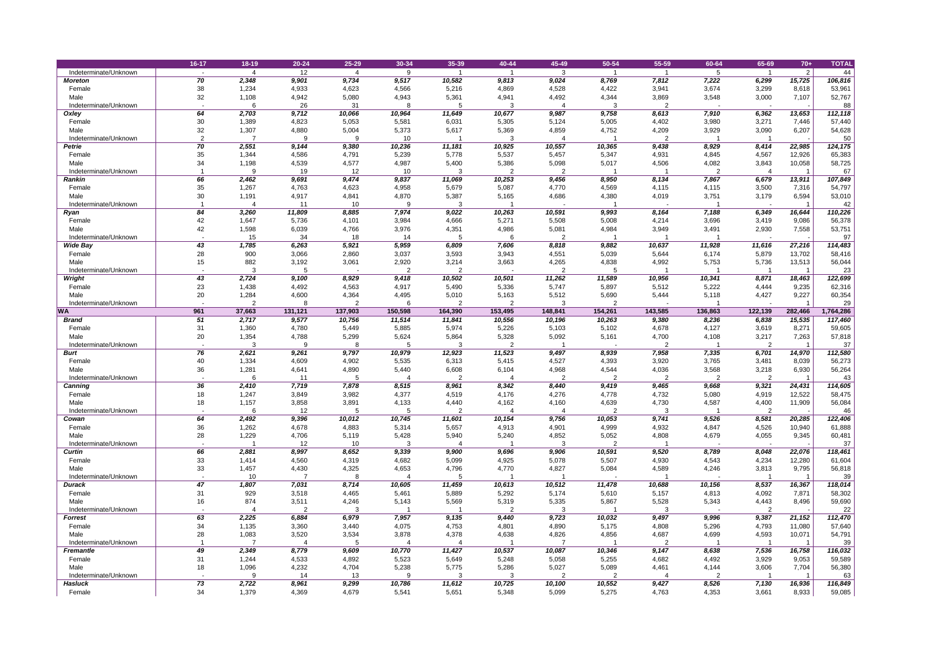|                                           | 16-17    | $18 - 19$      | $20 - 24$      | 25-29           | 30-34           | 35-39           | 40-44           | 45-49          | 50-54           | 55-59          | 60-64          | 65-69          | $70+$            | <b>TOTAL</b>      |
|-------------------------------------------|----------|----------------|----------------|-----------------|-----------------|-----------------|-----------------|----------------|-----------------|----------------|----------------|----------------|------------------|-------------------|
| Indeterminate/Unknown                     |          |                | 12             |                 | 9               |                 |                 | 3              |                 |                |                |                | $\overline{2}$   | 44                |
| <b>Moreton</b>                            | 70       | 2,348          | 9,901          | 9,734           | 9,517           | 10,582          | 9,813           | 9,024          | 8,769           | 7,812          | 7,222          | 6,299          | 15,725           | 106,816           |
| Female                                    | 38       | 1,234          | 4,933          | 4,623           | 4,566           | 5,216           | 4,869           | 4,528          | 4,422           | 3,941          | 3,674          | 3,299          | 8,618            | 53,961            |
| Male                                      | 32       | 1,108          | 4,942          | 5,080           | 4,943           | 5,361           | 4,941           | 4,492          | 4,344           | 3,869          | 3,548          | 3,000          | 7,107            | 52,767            |
| Indeterminate/Unknown                     |          |                | 26             | 31              |                 |                 | 3               |                | 3               | $\overline{2}$ |                |                |                  | 88                |
| Oxley                                     | 64       | 2,703          | 9,712          | 10,066          | 10,964          | 11,649          | 10,677          | 9,987          | 9,758           | 8,613          | 7,910          | 6,362          | 13,653           | 112,118           |
| Female                                    | 30       | 1,389          | 4,823          | 5,053           | 5,581           | 6,031           | 5,305           | 5,124          | 5,005           | 4,402          | 3,980          | 3,271          | 7,446            | 57,440            |
| Male                                      | 32       | 1,307          | 4,880          | 5,004           | 5,373           | 5,617           | 5,369           | 4,859          | 4,752           | 4,209          | 3,929          | 3,090          | 6,207            | 54,628            |
| Indeterminate/Unknown                     | റ        |                |                | 9               | 10              |                 |                 |                |                 |                |                |                |                  | 50                |
| <b>Petrie</b>                             | 70       | 2,551          | 9,144          | 9,380           | 10,236          | 11,181          | 10,925          | 10,557         | 10,365          | 9,438          | 8,929          | 8,414          | 22,985           | 124,175           |
| Female<br>Male                            | 35<br>34 | 1,344<br>1,198 | 4,586<br>4,539 | 4,791<br>4,577  | 5,239           | 5,778<br>5,400  | 5,537<br>5,386  | 5,457<br>5,098 | 5,347<br>5,017  | 4,931          | 4,845<br>4,082 | 4,567          | 12,926<br>10,058 | 65,383            |
| Indeterminate/Unknown                     |          |                | 19             | 12              | 4,987<br>10     | 3               |                 |                |                 | 4,506          |                | 3,843          |                  | 58,725<br>67      |
| <b>Rankin</b>                             | 66       | 2,462          | 9,691          | 9,474           | 9,837           | 11,069          | 10,253          | 9,456          | 8,950           | 8,134          | 7,867          | 6,679          | 13,911           | 107,849           |
| Female                                    | 35       | 1,267          | 4,763          | 4,623           | 4,958           | 5,679           | 5,087           | 4,770          | 4,569           | 4,115          | 4,115          | 3,500          | 7,316            | 54,797            |
| Male                                      | 30       | 1,191          | 4,917          | 4,841           | 4,870           | 5,387           | 5,165           | 4,686          | 4,380           | 4,019          | 3,751          | 3,179          | 6,594            | 53,010            |
| Indeterminate/Unknown                     |          |                | 11             | 10              |                 | -3              |                 |                |                 |                |                |                |                  | 42                |
| <b>Ryan</b>                               | 84       | 3,260          | 11,809         | 8,885           | 7,974           | 9,022           | 10,263          | 10,591         | 9,993           | 8,164          | 7,188          | 6,349          | 16,644           | 110,226           |
| Female                                    | 42       | 1,647          | 5,736          | 4,101           | 3,984           | 4,666           | 5,271           | 5,508          | 5,008           | 4,214          | 3,696          | 3,419          | 9,086            | 56,378            |
| Male                                      | 42       | 1,598          | 6,039          | 4,766           | 3,976           | 4,351           | 4,986           | 5,081          | 4,984           | 3,949          | 3,491          | 2,930          | 7,558            | 53,751            |
| Indeterminate/Unknown                     |          | 15             | 34             | 18              | 14              |                 |                 |                |                 |                |                |                |                  | 97                |
| <b>Wide Bay</b>                           | 43       | 1,785          | 6,263          | 5,921           | 5,959           | 6,809           | 7,606           | 8,818          | 9,882           | 10,637         | 11,928         | 11,616         | 27,216           | 114,483           |
| Female                                    | 28       | 900            | 3,066          | 2,860           | 3,037           | 3,593           | 3,943           | 4,551          | 5,039           | 5,644          | 6,174          | 5,879          | 13,702           | 58,416            |
| Male                                      | 15       | 882            | 3,192          | 3,061           | 2,920           | 3,214           | 3,663           | 4,265          | 4,838           | 4,992          | 5,753          | 5,736          | 13,513           | 56,044            |
| Indeterminate/Unknown                     |          | 3              |                |                 | $\overline{2}$  | $\overline{2}$  |                 | 2              | 5               |                |                |                |                  | 23                |
| <b>Wright</b>                             | 43       | 2,724          | 9,100          | 8,929           | 9,418           | 10,502          | 10,501          | 11,262         | 11,589          | 10,956         | 10,341         | 8,871          | 18,463           | 122,699           |
| Female                                    | 23       | 1,438          | 4,492          | 4,563           | 4,917           | 5,490           | 5,336           | 5,747          | 5,897           | 5,512          | 5,222          | 4,444          | 9,235            | 62,316            |
| Male<br>Indeterminate/Unknown             | 20       | 1,284          | 4,600          | 4,364           | 4,495           | 5,010           | 5,163           | 5,512          | 5,690           | 5,444          | 5,118          | 4,427          | 9,227            | 60,354            |
| <b>WA</b>                                 | 961      | 37,663         | 131,121        | 137,903         | 150,598         | 164,390         | 153,495         | 148,841        | 154,261         | 143,585        | 136,863        | 122,139        | 282,466          | 29<br>1,764,286   |
| <b>Brand</b>                              | 51       | 2,717          | 9,577          | 10,756          | 11,514          | 11,841          | 10,556          | 10,196         | 10,263          | 9,380          | 8,236          | 6,838          | 15,535           | 117,460           |
| Female                                    | 31       | 1,360          | 4,780          | 5,449           | 5,885           | 5,974           | 5,226           | 5,103          | 5,102           | 4,678          | 4,127          | 3,619          | 8,271            | 59,605            |
| Male                                      | 20       | 1,354          | 4,788          | 5,299           | 5,624           | 5,864           | 5,328           | 5,092          | 5,161           | 4,700          | 4,108          | 3,217          | 7,263            | 57,818            |
| Indeterminate/Unknown                     |          |                | .9             |                 |                 |                 | ົ               |                |                 | $\overline{2}$ |                | - 2            |                  | 37                |
| <b>Burt</b>                               | 76       | 2,621          | 9,261          | 9,797           | 10,979          | 12,923          | 11,523          | 9,497          | 8,939           | 7,958          | 7,335          | 6,701          | 14,970           | 112,580           |
| Female                                    | 40       | 1,334          | 4,609          | 4,902           | 5,535           | 6,313           | 5,415           | 4,527          | 4,393           | 3,920          | 3,765          | 3,481          | 8,039            | 56,273            |
| Male                                      | 36       | 1,281          | 4,641          | 4,890           | 5,440           | 6,608           | 6,104           | 4,968          | 4,544           | 4,036          | 3,568          | 3,218          | 6,930            | 56,264            |
| Indeterminate/Unknown                     |          |                | 11             |                 |                 |                 |                 |                |                 |                |                |                |                  | 43                |
| <b>Canning</b>                            | 36       | 2,410          | 7,719          | 7,878           | 8,515           | 8,961           | 8,342           | 8,440          | 9,419           | 9,465          | 9,668          | 9,321          | 24,431           | 114,605           |
| Female                                    | 18       | 1,247          | 3,849          | 3,982           | 4,377           | 4,519           | 4,176           | 4,276          | 4,778           | 4,732          | 5,080          | 4,919          | 12,522           | 58,475            |
| Male                                      | 18       | 1,157          | 3,858          | 3,891           | 4,133           | 4,440           | 4,162           | 4,160          | 4,639           | 4,730          | 4,587          | 4,400          | 11,909           | 56,084            |
| Indeterminate/Unknown                     |          |                | 12             | 5               |                 |                 |                 |                |                 |                |                |                |                  | 46                |
| Cowan<br>Female                           | 64<br>36 | 2,492<br>1,262 | 9,396<br>4,678 | 10,012<br>4,883 | 10,745<br>5,314 | 11,601<br>5,657 | 10,154<br>4,913 | 9,756<br>4,901 | 10,053<br>4,999 | 9,741<br>4,932 | 9,526<br>4,847 | 8,581<br>4,526 | 20,285<br>10,940 | 122,406<br>61,888 |
| Male                                      | 28       | 1,229          | 4,706          | 5,119           | 5,428           | 5,940           | 5,240           | 4,852          | 5,052           | 4,808          | 4,679          | 4,055          | 9,345            | 60,481            |
| Indeterminate/Unknown                     |          |                | 12             | 10              | 3               |                 |                 |                |                 |                |                |                |                  | 37                |
| <b>Curtin</b>                             | 66       | 2,881          | 8,997          | 8,652           | 9,339           | 9,900           | 9,696           | 9,906          | 10,591          | 9,520          | 8,789          | 8,048          | 22,076           | 118,461           |
| Female                                    | 33       | 1,414          | 4,560          | 4,319           | 4,682           | 5,099           | 4,925           | 5,078          | 5,507           | 4,930          | 4,543          | 4,234          | 12,280           | 61,604            |
| Male                                      | 33       | 1,457          | 4,430          | 4,325           | 4,653           | 4,796           | 4,770           | 4,827          | 5,084           | 4,589          | 4,246          | 3,813          | 9,795            | 56,818            |
| Indeterminate/Unknown                     |          | 10             |                |                 |                 |                 |                 |                |                 |                |                |                |                  | 39                |
| <b>Durack</b>                             | 47       | 1,807          | 7,031          | 8,714           | 10,605          | 11,459          | 10,613          | 10,512         | 11,478          | 10,688         | 10,156         | 8,537          | 16,367           | 118,014           |
| Female                                    | 31       | 929            | 3,518          | 4,465           | 5,461           | 5,889           | 5,292           | 5,174          | 5,610           | 5,157          | 4,813          | 4,092          | 7,871            | 58,302            |
| Male                                      | 16       | 874            | 3,511          | 4,246           | 5,143           | 5,569           | 5,319           | 5,335          | 5,867           | 5,528          | 5,343          | 4,443          | 8,496            | 59,690            |
| Indeterminate/Unknown                     |          |                |                | 3               |                 |                 |                 |                |                 | 3              |                | $\overline{2}$ |                  | 22                |
| <b>Forrest</b>                            | 63       | 2,225          | 6,884          | 6,979           | 7,957           | 9,135           | 9,440           | 9,723          | 10,032          | 9,497          | 9,996          | 9,387          | 21,152           | 112,470           |
| Female                                    | 34       | 1,135          | 3,360          | 3,440           | 4,075           | 4,753           | 4,801           | 4,890          | 5,175           | 4,808          | 5,296          | 4,793          | 11,080           | 57,640            |
| Male                                      | 28       | 1,083          | 3,520          | 3,534           | 3,878           | 4,378           | 4,638           | 4,826          | 4,856           | 4,687          | 4,699          | 4,593          | 10,071           | 54,791            |
| Indeterminate/Unknown<br><b>Fremantle</b> | 49       | 2,349          | 8,779          | 9,609           | 10,770          | 11,427          | 10,537          | 10,087         | 10,346          | 2<br>9,147     | 8,638          | 7,536          | 16,758           | 39<br>116,032     |
|                                           |          |                |                |                 |                 |                 |                 |                |                 |                |                |                |                  | 59,589            |
|                                           |          |                |                |                 |                 |                 |                 |                |                 |                |                |                |                  |                   |
| Female                                    | 31       | 1,244          | 4,533          | 4,892           | 5,523           | 5,649           | 5,248           | 5,058          | 5,255           | 4,682          | 4,492          | 3,929          | 9,053            |                   |
| Male<br>Indeterminate/Unknown             | 18       | 1,096          | 4,232<br>14    | 4,704<br>13     | 5,238           | 5,775           | 5,286           | 5,027          | 5,089           | 4,461          | 4,144          | 3,606          | 7,704            | 56,380            |
| Hasluck                                   | 73       | 2,722          | 8,961          | 9,299           | 10,786          | 11,612          | 10,725          | 10,100         | 10,552          | 9,427          | 8,526          | 7,130          | 16,936           | 63<br>116,849     |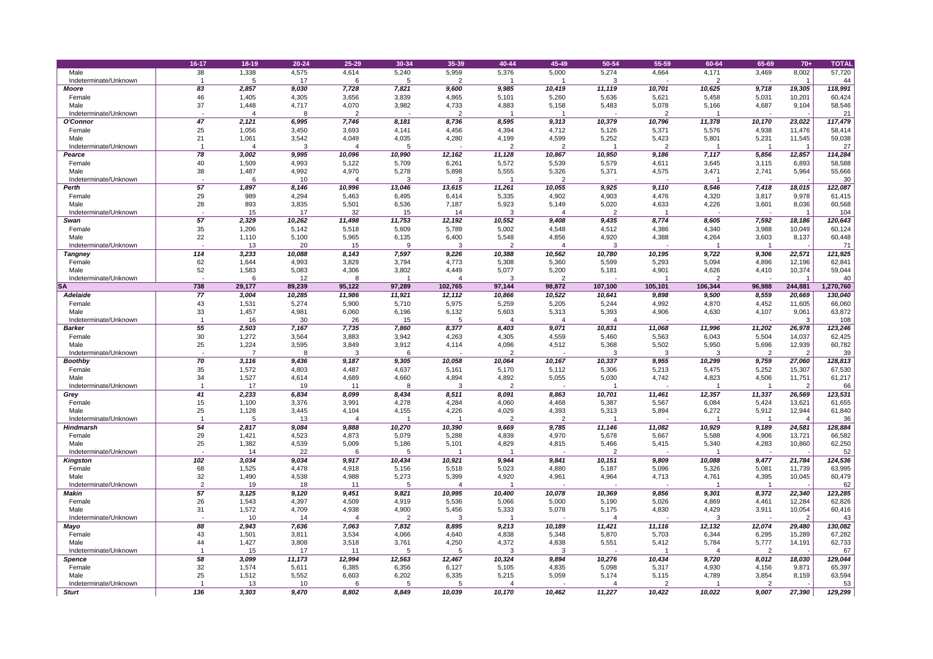|                       | 16-17 | $18 - 19$ | $20 - 24$ | 25-29  | 30-34  | 35-39   | 40-44          | 45-49          | 50-54   | 55-59          | 60-64   | 65-69  | $70+$          | <b>TOTAL</b>    |
|-----------------------|-------|-----------|-----------|--------|--------|---------|----------------|----------------|---------|----------------|---------|--------|----------------|-----------------|
| Male                  | 38    | 1,338     | 4,575     | 4,614  | 5,240  | 5,959   | 5,376          | 5,000          | 5,274   | 4,664          | 4,171   | 3,469  | 8,002          | 57,720          |
| Indeterminate/Unknown |       |           | 17        |        |        |         |                |                |         |                | 2       |        |                | 44              |
| <b>Moore</b>          | 83    | 2,857     | 9,030     | 7,728  | 7,821  | 9,600   | 9,985          | 10,419         | 11,119  | 10,701         | 10,625  | 9,718  | 19,305         | 118,991         |
| Female                | 46    | 1,405     | 4,305     | 3,656  | 3,839  | 4,865   | 5,101          | 5,260          | 5,636   | 5,621          | 5,458   | 5,031  | 10,201         | 60,424          |
| Male                  | 37    | 1,448     | 4,717     | 4,070  | 3,982  | 4,733   | 4,883          | 5,158          | 5,483   | 5,078          | 5,166   | 4,687  | 9,104          | 58,546          |
| Indeterminate/Unknown |       |           | -8        |        |        |         |                |                |         |                |         |        |                | 21              |
| <b>O'Connor</b>       | 47    | 2,121     | 6,995     | 7,746  | 8,181  | 8,736   | 8,595          | 9,313          | 10,379  | 10,796         | 11,378  | 10,170 | 23,022         | 117,479         |
| Female                | 25    | 1,056     | 3,450     | 3,693  | 4,141  | 4,456   | 4,394          | 4,712          | 5,126   | 5,371          | 5,576   | 4,938  | 11,476         | 58,414          |
| Male                  | 21    | 1,061     | 3,542     | 4,049  | 4,035  | 4,280   | 4,199          | 4,599          | 5,252   | 5,423          | 5,801   | 5,231  | 11,545         | 59,038          |
| Indeterminate/Unknown |       |           | 3         |        |        |         |                | $\overline{2}$ |         | $\overline{2}$ |         |        |                | 27              |
| Pearce                | 78    | 3,002     | 9,995     | 10,096 | 10,990 | 12,162  | 11,128         | 10,867         | 10,950  | 9,186          | 7,117   | 5,856  | 12,857         | 114,284         |
| Female                | 40    | 1,509     | 4,993     | 5,122  | 5,709  | 6,261   | 5,572          | 5,539          | 5,579   | 4,611          | 3,645   | 3,115  | 6,893          | 58,588          |
| Male                  | 38    | 1,487     | 4,992     | 4,970  | 5,278  | 5,898   | 5,555          | 5,326          | 5,371   | 4,575          | 3,471   | 2,741  | 5,964          | 55,666          |
| Indeterminate/Unknown |       |           | 10        |        |        |         |                |                |         |                |         |        |                | 30 <sup>°</sup> |
| <b>Perth</b>          | 57    | 1,897     | 8,146     | 10,996 | 13,046 | 13,615  | 11,261         | 10,055         | 9,925   | 9,110          | 8,546   | 7,418  | 18,015         | 122,087         |
| Female                | 29    | 989       | 4,294     | 5,463  | 6,495  | 6,414   | 5,335          | 4,902          | 4,903   | 4,476          | 4,320   | 3,817  | 9,978          | 61,415          |
| Male                  | 28    | 893       | 3,835     | 5,501  | 6,536  | 7,187   | 5,923          | 5,149          | 5,020   | 4,633          | 4,226   | 3,601  | 8,036          | 60,568          |
| Indeterminate/Unknown |       | 15        | 17        | 32     | 15     | 14      |                |                | റ       |                |         |        |                | 104             |
| <b>Swan</b>           | 57    | 2,329     | 10,262    | 11,498 | 11,753 | 12,192  | 10,552         | 9,408          | 9,435   | 8,774          | 8,605   | 7,592  | 18,186         | 120,643         |
| Female                | 35    | 1,206     | 5,142     | 5,518  | 5,609  | 5,789   | 5,002          | 4,548          | 4,512   | 4,386          | 4,340   | 3,988  | 10,049         | 60,124          |
| Male                  | 22    | 1,110     | 5,100     | 5,965  | 6,135  | 6,400   | 5,548          | 4,856          | 4,920   | 4,388          | 4,264   | 3,603  | 8,137          | 60,448          |
| Indeterminate/Unknown |       | 13        | 20        | 15     | 9      |         |                |                | 3       |                |         |        |                | 71              |
| <b>Tangney</b>        | 114   | 3,233     | 10,088    | 8,143  | 7,597  | 9,226   | 10,388         | 10,562         | 10,780  | 10,195         | 9,722   | 9,306  | 22,571         | 121,925         |
| Female                | 62    | 1,644     | 4,993     | 3,829  | 3,794  | 4,773   | 5,308          | 5,360          | 5,599   | 5,293          | 5,094   | 4,896  | 12,196         | 62,841          |
| Male                  | 52    | 1,583     | 5,083     | 4,306  | 3,802  | 4,449   | 5,077          | 5,200          | 5,181   | 4,901          | 4,626   | 4,410  | 10,374         | 59,044          |
| Indeterminate/Unknown |       |           | 12        |        |        |         |                |                |         |                |         |        |                | 40              |
| <b>SA</b>             | 738   | 29,177    | 89,239    | 95,122 | 97,289 | 102,765 | 97,144         | 98,872         | 107,100 | 105,101        | 106,344 | 96,988 | 244,881        | 1,270,760       |
| <b>Adelaide</b>       | 77    | 3,004     | 10,285    | 11,986 | 11,921 | 12,112  | 10,866         | 10,522         | 10,641  | 9,898          | 9,500   | 8,559  | 20,669         | 130,040         |
| Female                | 43    | 1,531     | 5,274     | 5,900  | 5,710  | 5,975   | 5,259          | 5,205          | 5,244   | 4,992          | 4,870   | 4,452  | 11,605         | 66,060          |
| Male                  | 33    | 1,457     | 4,981     | 6,060  | 6,196  | 6,132   | 5,603          | 5,313          | 5,393   | 4,906          | 4,630   | 4,107  | 9,061          | 63,872          |
| Indeterminate/Unknown |       | 16        | 30        | 26     | 15     |         |                |                |         |                |         |        | 3 <sup>1</sup> | 108             |
| <b>Barker</b>         | 55    | 2,503     | 7,167     | 7,735  | 7,860  | 8,377   | 8,403          | 9,071          | 10,831  | 11,068         | 11,996  | 11,202 | 26,978         | 123,246         |
| Female                | 30    | 1,272     | 3,564     | 3,883  | 3,942  | 4,263   | 4,305          | 4,559          | 5,460   | 5,563          | 6,043   | 5,504  | 14,037         | 62,425          |
| Male                  | 25    | 1,224     | 3,595     | 3,849  | 3,912  | 4,114   | 4,096          | 4,512          | 5,368   | 5,502          | 5,950   | 5,696  | 12,939         | 60,782          |
| Indeterminate/Unknown |       |           |           |        |        |         |                |                |         |                |         |        |                | 39              |
| <b>Boothby</b>        | 70    | 3,116     | 9,436     | 9,187  | 9,305  | 10,058  | 10,064         | 10,167         | 10,337  | 9,955          | 10,299  | 9,759  | 27,060         | 128,813         |
| Female                | 35    | 1,572     | 4,803     | 4,487  | 4,637  | 5,161   | 5,170          | 5,112          | 5,306   | 5,213          | 5,475   | 5,252  | 15,307         | 67,530          |
| Male                  | 34    | 1,527     | 4,614     | 4,689  | 4,660  | 4,894   | 4,892          | 5,055          | 5,030   | 4,742          | 4,823   | 4,506  | 11,751         | 61,217          |
| Indeterminate/Unknown |       | 17        | 19        | 11     |        |         | $\overline{2}$ |                |         |                |         |        | $\overline{2}$ | 66              |
| Grey                  | 41    | 2,233     | 6,834     | 8,099  | 8,434  | 8,511   | 8,091          | 8,863          | 10,701  | 11,461         | 12,357  | 11,337 | 26,569         | 123,531         |
| Female                | 15    | 1,100     | 3,376     | 3,991  | 4,278  | 4,284   | 4,060          | 4,468          | 5,387   | 5,567          | 6,084   | 5,424  | 13,621         | 61,655          |
| Male                  | 25    | 1,128     | 3,445     | 4,104  | 4,155  | 4,226   | 4,029          | 4,393          | 5,313   | 5,894          | 6,272   | 5,912  | 12,944         | 61,840          |
| Indeterminate/Unknown |       |           | 13        |        |        |         |                |                |         |                |         |        |                | 36              |
| <b>Hindmarsh</b>      | 54    | 2,817     | 9,084     | 9,888  | 10,270 | 10,390  | 9,669          | 9,785          | 11,146  | 11,082         | 10,929  | 9,189  | 24,581         | 128,884         |
| Female                | 29    | 1,421     | 4,523     | 4,873  | 5,079  | 5,288   | 4,839          | 4,970          | 5,678   | 5,667          | 5,588   | 4,906  | 13,721         | 66,582          |
| Male                  | 25    | 1,382     | 4,539     | 5,009  | 5,186  | 5,101   | 4,829          | 4,815          | 5,466   | 5,415          | 5,340   | 4,283  | 10,860         | 62,250          |
| Indeterminate/Unknown |       | 14        | 22        |        |        |         |                |                |         |                |         |        |                | 52              |
| <b>Kingston</b>       | 102   | 3,034     | 9,034     | 9,917  | 10,434 | 10,921  | 9,944          | 9,841          | 10,151  | 9,809          | 10,088  | 9,477  | 21,784         | 124,536         |
| Female                | 68    | 1,525     | 4,478     | 4,918  | 5,156  | 5,518   | 5,023          | 4,880          | 5,187   | 5,096          | 5,326   | 5,081  | 11,739         | 63,995          |
| Male                  | 32    | 1,490     | 4,538     | 4,988  | 5,273  | 5,399   | 4,920          | 4,961          | 4,964   | 4,713          | 4,761   | 4,395  | 10,045         | 60,479          |
| Indeterminate/Unknown | ົ     | 19        | 18        | 11     |        |         |                |                |         |                |         |        |                | 62              |
| <b>Makin</b>          | 57    | 3,125     | 9,120     | 9,451  | 9,821  | 10,995  | 10,400         | 10,078         | 10,369  | 9,856          | 9,301   | 8,372  | 22,340         | 123,285         |
| Female                | 26    | 1,543     | 4,397     | 4,509  | 4,919  | 5,536   | 5,066          | 5,000          | 5,190   | 5,026          | 4,869   | 4,461  | 12,284         | 62,826          |
| Male                  | 31    | 1,572     | 4,709     | 4,938  | 4,900  | 5,456   | 5,333          | 5,078          | 5,175   | 4,830          | 4,429   | 3,911  | 10,054         | 60,416          |
| Indeterminate/Unknown |       | 10        | 14        |        | ົ      |         |                |                |         |                |         |        | $\overline{2}$ | 43              |
| <b>Mayo</b>           | 88    | 2,943     | 7,636     | 7,063  | 7,832  | 8,895   | 9,213          | 10,189         | 11,421  | 11,116         | 12,132  | 12,074 | 29,480         | 130,082         |
| Female                | 43    | 1,501     | 3,811     | 3,534  | 4,066  | 4,640   | 4,838          | 5,348          | 5,870   | 5,703          | 6,344   | 6,295  | 15,289         | 67,282          |
| Male                  |       | 1,427     | 3,808     | 3,518  | 3,761  | 4,250   | 4,372          | 4,838          | 5,551   | 5,412          | 5,784   | 5,777  | 14,191         | 62,733          |
| Indeterminate/Unknown |       | 15        | 17        | 11     |        |         |                |                |         |                |         |        |                | 67              |
| <b>Spence</b>         | 58    | 3,099     | 11,173    | 12,994 | 12,563 | 12,467  | 10,324         | 9,894          | 10,276  | 10,434         | 9,720   | 8,012  | 18,030         | 129,044         |
| Female                | 32    | 1,574     | 5,611     | 6,385  | 6,356  | 6,127   | 5,105          | 4,835          | 5,098   | 5,317          | 4,930   | 4,156  | 9,871          | 65,397          |
| Male                  | 25    | 1,512     | 5,552     | 6,603  | 6,202  | 6,335   | 5,215          | 5,059          | 5,174   | 5,115          | 4,789   | 3,854  | 8,159          | 63,594          |
| Indeterminate/Unknown |       | 13        | 10        |        |        |         |                |                |         | ∠              |         |        |                | 53              |
| <b>Sturt</b>          | 136   | 3,303     | 9,470     | 8,802  | 8,849  | 10,039  | 10,170         | 10,462         | 11,227  | 10,422         | 10,022  | 9,007  | 27,390         | 129,299         |